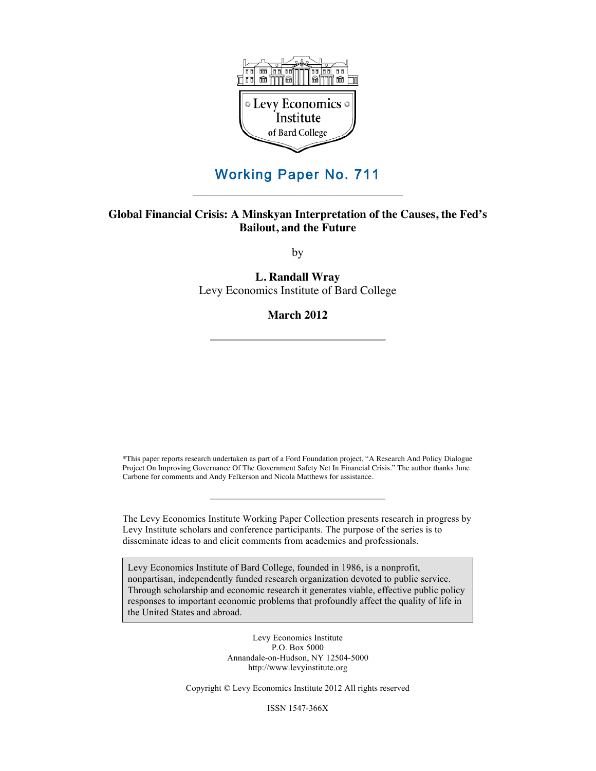

# Working Paper No. 711

# **Global Financial Crisis: A Minskyan Interpretation of the Causes, the Fed's Bailout, and the Future**

by

**L. Randall Wray** Levy Economics Institute of Bard College

# **March 2012**

\*This paper reports research undertaken as part of a Ford Foundation project, "A Research And Policy Dialogue Project On Improving Governance Of The Government Safety Net In Financial Crisis." The author thanks June Carbone for comments and Andy Felkerson and Nicola Matthews for assistance.

The Levy Economics Institute Working Paper Collection presents research in progress by Levy Institute scholars and conference participants. The purpose of the series is to disseminate ideas to and elicit comments from academics and professionals.

Levy Economics Institute of Bard College, founded in 1986, is a nonprofit, nonpartisan, independently funded research organization devoted to public service. Through scholarship and economic research it generates viable, effective public policy responses to important economic problems that profoundly affect the quality of life in the United States and abroad.

> Levy Economics Institute P.O. Box 5000 Annandale-on-Hudson, NY 12504-5000 http://www.levyinstitute.org

Copyright © Levy Economics Institute 2012 All rights reserved

ISSN 1547-366X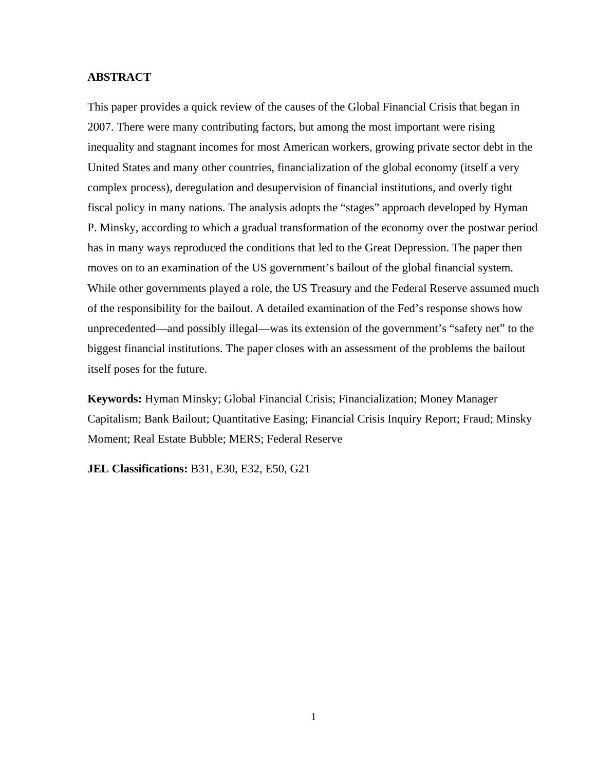# **ABSTRACT**

This paper provides a quick review of the causes of the Global Financial Crisis that began in 2007. There were many contributing factors, but among the most important were rising inequality and stagnant incomes for most American workers, growing private sector debt in the United States and many other countries, financialization of the global economy (itself a very complex process), deregulation and desupervision of financial institutions, and overly tight fiscal policy in many nations. The analysis adopts the "stages" approach developed by Hyman P. Minsky, according to which a gradual transformation of the economy over the postwar period has in many ways reproduced the conditions that led to the Great Depression. The paper then moves on to an examination of the US government's bailout of the global financial system. While other governments played a role, the US Treasury and the Federal Reserve assumed much of the responsibility for the bailout. A detailed examination of the Fed's response shows how unprecedented—and possibly illegal—was its extension of the government's "safety net" to the biggest financial institutions. The paper closes with an assessment of the problems the bailout itself poses for the future.

**Keywords:** Hyman Minsky; Global Financial Crisis; Financialization; Money Manager Capitalism; Bank Bailout; Quantitative Easing; Financial Crisis Inquiry Report; Fraud; Minsky Moment; Real Estate Bubble; MERS; Federal Reserve

**JEL Classifications:** B31, E30, E32, E50, G21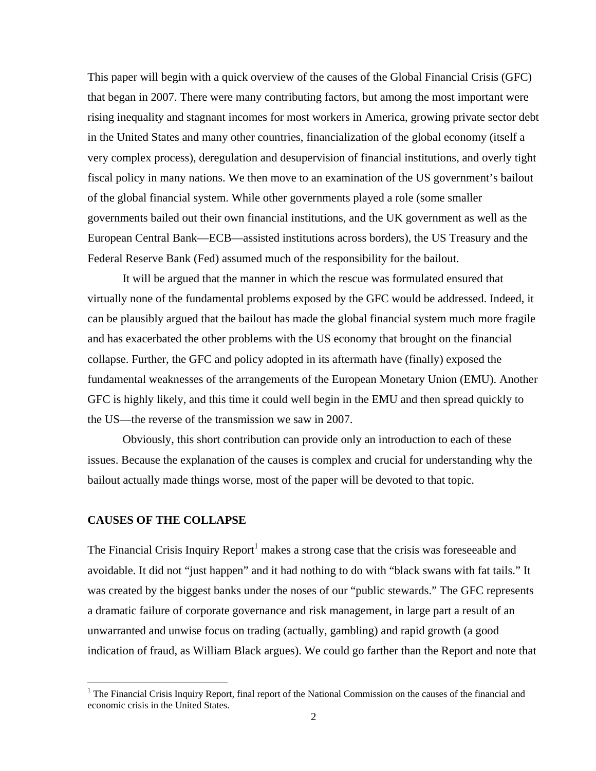This paper will begin with a quick overview of the causes of the Global Financial Crisis (GFC) that began in 2007. There were many contributing factors, but among the most important were rising inequality and stagnant incomes for most workers in America, growing private sector debt in the United States and many other countries, financialization of the global economy (itself a very complex process), deregulation and desupervision of financial institutions, and overly tight fiscal policy in many nations. We then move to an examination of the US government's bailout of the global financial system. While other governments played a role (some smaller governments bailed out their own financial institutions, and the UK government as well as the European Central Bank—ECB—assisted institutions across borders), the US Treasury and the Federal Reserve Bank (Fed) assumed much of the responsibility for the bailout.

It will be argued that the manner in which the rescue was formulated ensured that virtually none of the fundamental problems exposed by the GFC would be addressed. Indeed, it can be plausibly argued that the bailout has made the global financial system much more fragile and has exacerbated the other problems with the US economy that brought on the financial collapse. Further, the GFC and policy adopted in its aftermath have (finally) exposed the fundamental weaknesses of the arrangements of the European Monetary Union (EMU). Another GFC is highly likely, and this time it could well begin in the EMU and then spread quickly to the US—the reverse of the transmission we saw in 2007.

Obviously, this short contribution can provide only an introduction to each of these issues. Because the explanation of the causes is complex and crucial for understanding why the bailout actually made things worse, most of the paper will be devoted to that topic.

# **CAUSES OF THE COLLAPSE**

The Financial Crisis Inquiry Report<sup>1</sup> makes a strong case that the crisis was foreseeable and avoidable. It did not "just happen" and it had nothing to do with "black swans with fat tails." It was created by the biggest banks under the noses of our "public stewards." The GFC represents a dramatic failure of corporate governance and risk management, in large part a result of an unwarranted and unwise focus on trading (actually, gambling) and rapid growth (a good indication of fraud, as William Black argues). We could go farther than the Report and note that

<sup>&</sup>lt;sup>1</sup> The Financial Crisis Inquiry Report, final report of the National Commission on the causes of the financial and economic crisis in the United States.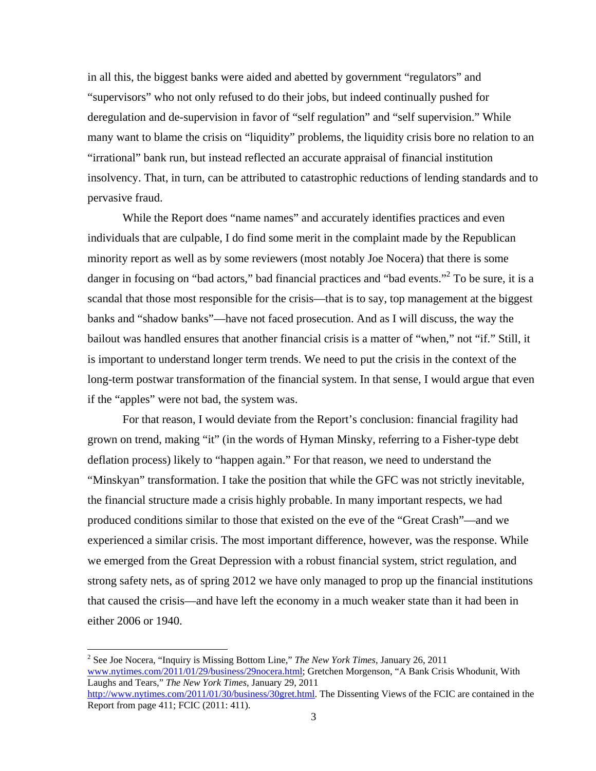in all this, the biggest banks were aided and abetted by government "regulators" and "supervisors" who not only refused to do their jobs, but indeed continually pushed for deregulation and de-supervision in favor of "self regulation" and "self supervision." While many want to blame the crisis on "liquidity" problems, the liquidity crisis bore no relation to an "irrational" bank run, but instead reflected an accurate appraisal of financial institution insolvency. That, in turn, can be attributed to catastrophic reductions of lending standards and to pervasive fraud.

While the Report does "name names" and accurately identifies practices and even individuals that are culpable, I do find some merit in the complaint made by the Republican minority report as well as by some reviewers (most notably Joe Nocera) that there is some danger in focusing on "bad actors," bad financial practices and "bad events."<sup>2</sup> To be sure, it is a scandal that those most responsible for the crisis—that is to say, top management at the biggest banks and "shadow banks"—have not faced prosecution. And as I will discuss, the way the bailout was handled ensures that another financial crisis is a matter of "when," not "if." Still, it is important to understand longer term trends. We need to put the crisis in the context of the long-term postwar transformation of the financial system. In that sense, I would argue that even if the "apples" were not bad, the system was.

For that reason, I would deviate from the Report's conclusion: financial fragility had grown on trend, making "it" (in the words of Hyman Minsky, referring to a Fisher-type debt deflation process) likely to "happen again." For that reason, we need to understand the "Minskyan" transformation. I take the position that while the GFC was not strictly inevitable, the financial structure made a crisis highly probable. In many important respects, we had produced conditions similar to those that existed on the eve of the "Great Crash"—and we experienced a similar crisis. The most important difference, however, was the response. While we emerged from the Great Depression with a robust financial system, strict regulation, and strong safety nets, as of spring 2012 we have only managed to prop up the financial institutions that caused the crisis—and have left the economy in a much weaker state than it had been in either 2006 or 1940.

<sup>2</sup> See Joe Nocera, "Inquiry is Missing Bottom Line," *The New York Times*, January 26, 2011 www.nytimes.com/2011/01/29/business/29nocera.html; Gretchen Morgenson, "A Bank Crisis Whodunit, With Laughs and Tears," *The New York Times*, January 29, 2011

http://www.nytimes.com/2011/01/30/business/30gret.html. The Dissenting Views of the FCIC are contained in the Report from page 411; FCIC (2011: 411).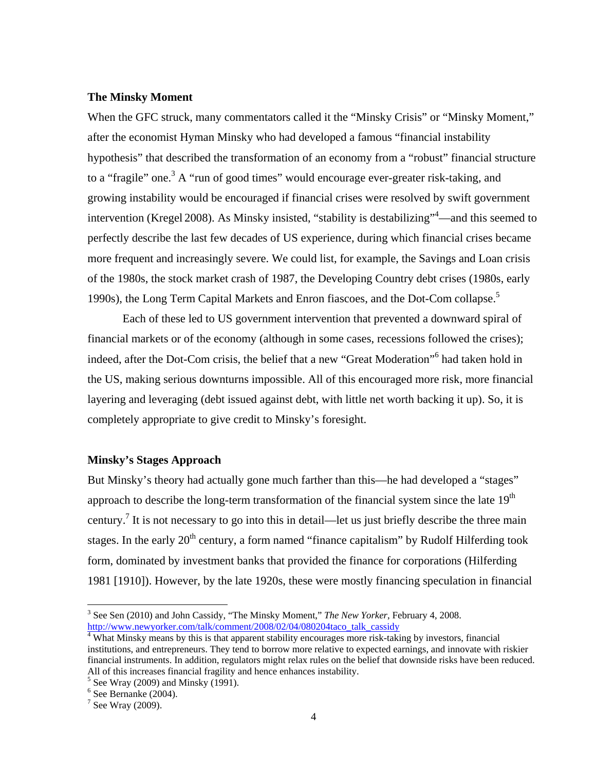## **The Minsky Moment**

When the GFC struck, many commentators called it the "Minsky Crisis" or "Minsky Moment," after the economist Hyman Minsky who had developed a famous "financial instability hypothesis" that described the transformation of an economy from a "robust" financial structure to a "fragile" one.<sup>3</sup> A "run of good times" would encourage ever-greater risk-taking, and growing instability would be encouraged if financial crises were resolved by swift government intervention (Kregel 2008). As Minsky insisted, "stability is destabilizing"<sup>4</sup>—and this seemed to perfectly describe the last few decades of US experience, during which financial crises became more frequent and increasingly severe. We could list, for example, the Savings and Loan crisis of the 1980s, the stock market crash of 1987, the Developing Country debt crises (1980s, early 1990s), the Long Term Capital Markets and Enron fiascoes, and the Dot-Com collapse.<sup>5</sup>

Each of these led to US government intervention that prevented a downward spiral of financial markets or of the economy (although in some cases, recessions followed the crises); indeed, after the Dot-Com crisis, the belief that a new "Great Moderation"<sup>6</sup> had taken hold in the US, making serious downturns impossible. All of this encouraged more risk, more financial layering and leveraging (debt issued against debt, with little net worth backing it up). So, it is completely appropriate to give credit to Minsky's foresight.

## **Minsky's Stages Approach**

But Minsky's theory had actually gone much farther than this—he had developed a "stages" approach to describe the long-term transformation of the financial system since the late  $19<sup>th</sup>$ century.<sup>7</sup> It is not necessary to go into this in detail—let us just briefly describe the three main stages. In the early  $20<sup>th</sup>$  century, a form named "finance capitalism" by Rudolf Hilferding took form, dominated by investment banks that provided the finance for corporations (Hilferding 1981 [1910]). However, by the late 1920s, these were mostly financing speculation in financial

<sup>3</sup> See Sen (2010) and John Cassidy, "The Minsky Moment," *The New Yorker*, February 4, 2008. http://www.newyorker.com/talk/comment/2008/02/04/080204taco\_talk\_cassidy

<sup>&</sup>lt;sup>4</sup> What Minsky means by this is that apparent stability encourages more risk-taking by investors, financial institutions, and entrepreneurs. They tend to borrow more relative to expected earnings, and innovate with riskier financial instruments. In addition, regulators might relax rules on the belief that downside risks have been reduced. All of this increases financial fragility and hence enhances instability.

 $5$  See Wray (2009) and Minsky (1991).

 $6$  See Bernanke (2004).

 $7$  See Wray (2009).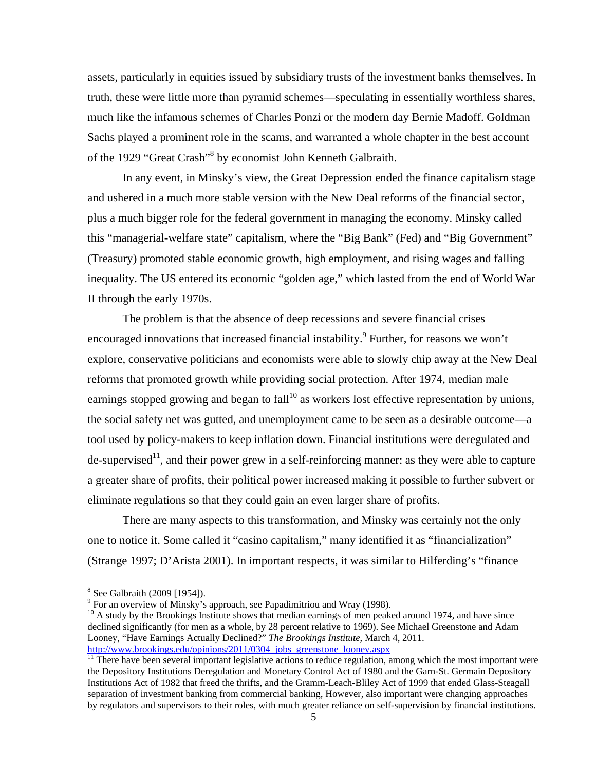assets, particularly in equities issued by subsidiary trusts of the investment banks themselves. In truth, these were little more than pyramid schemes—speculating in essentially worthless shares, much like the infamous schemes of Charles Ponzi or the modern day Bernie Madoff. Goldman Sachs played a prominent role in the scams, and warranted a whole chapter in the best account of the 1929 "Great Crash"<sup>8</sup> by economist John Kenneth Galbraith.

In any event, in Minsky's view, the Great Depression ended the finance capitalism stage and ushered in a much more stable version with the New Deal reforms of the financial sector, plus a much bigger role for the federal government in managing the economy. Minsky called this "managerial-welfare state" capitalism, where the "Big Bank" (Fed) and "Big Government" (Treasury) promoted stable economic growth, high employment, and rising wages and falling inequality. The US entered its economic "golden age," which lasted from the end of World War II through the early 1970s.

The problem is that the absence of deep recessions and severe financial crises encouraged innovations that increased financial instability.<sup>9</sup> Further, for reasons we won't explore, conservative politicians and economists were able to slowly chip away at the New Deal reforms that promoted growth while providing social protection. After 1974, median male earnings stopped growing and began to fall<sup>10</sup> as workers lost effective representation by unions, the social safety net was gutted, and unemployment came to be seen as a desirable outcome—a tool used by policy-makers to keep inflation down. Financial institutions were deregulated and de-supervised<sup>11</sup>, and their power grew in a self-reinforcing manner: as they were able to capture a greater share of profits, their political power increased making it possible to further subvert or eliminate regulations so that they could gain an even larger share of profits.

There are many aspects to this transformation, and Minsky was certainly not the only one to notice it. Some called it "casino capitalism," many identified it as "financialization" (Strange 1997; D'Arista 2001). In important respects, it was similar to Hilferding's "finance

<sup>&</sup>lt;sup>8</sup> See Galbraith (2009 [1954]).

 $9^9$  For an overview of Minsky's approach, see Papadimitriou and Wray (1998).

 $10$  A study by the Brookings Institute shows that median earnings of men peaked around 1974, and have since declined significantly (for men as a whole, by 28 percent relative to 1969). See Michael Greenstone and Adam Looney, "Have Earnings Actually Declined?" *The Brookings Institute*, March 4, 2011. http://www.brookings.edu/opinions/2011/0304\_jobs\_greenstone\_looney.aspx

 $\frac{11}{11}$  There have been several important legislative actions to reduce regulation, among which the most important were the Depository Institutions Deregulation and Monetary Control Act of 1980 and the Garn-St. Germain Depository Institutions Act of 1982 that freed the thrifts, and the Gramm-Leach-Bliley Act of 1999 that ended Glass-Steagall separation of investment banking from commercial banking, However, also important were changing approaches by regulators and supervisors to their roles, with much greater reliance on self-supervision by financial institutions.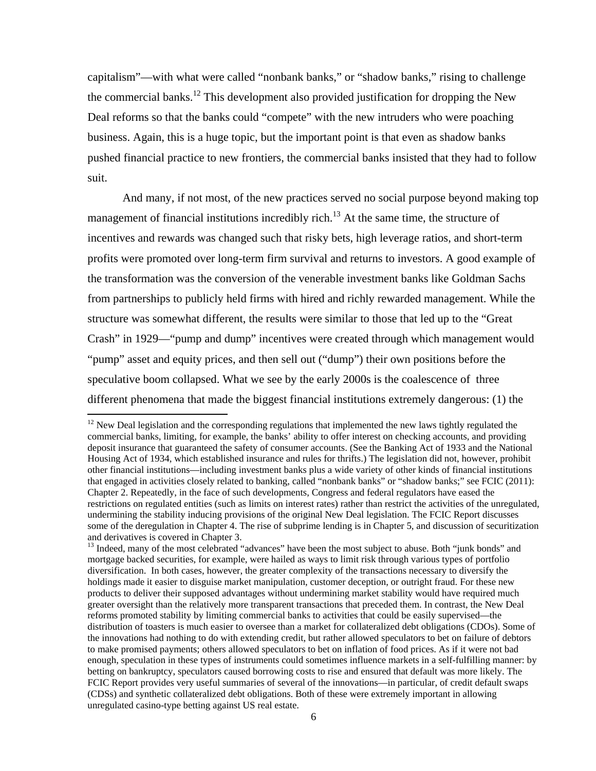capitalism"—with what were called "nonbank banks," or "shadow banks," rising to challenge the commercial banks.<sup>12</sup> This development also provided justification for dropping the New Deal reforms so that the banks could "compete" with the new intruders who were poaching business. Again, this is a huge topic, but the important point is that even as shadow banks pushed financial practice to new frontiers, the commercial banks insisted that they had to follow suit.

And many, if not most, of the new practices served no social purpose beyond making top management of financial institutions incredibly rich.<sup>13</sup> At the same time, the structure of incentives and rewards was changed such that risky bets, high leverage ratios, and short-term profits were promoted over long-term firm survival and returns to investors. A good example of the transformation was the conversion of the venerable investment banks like Goldman Sachs from partnerships to publicly held firms with hired and richly rewarded management. While the structure was somewhat different, the results were similar to those that led up to the "Great Crash" in 1929—"pump and dump" incentives were created through which management would "pump" asset and equity prices, and then sell out ("dump") their own positions before the speculative boom collapsed. What we see by the early 2000s is the coalescence of three different phenomena that made the biggest financial institutions extremely dangerous: (1) the

 $12$  New Deal legislation and the corresponding regulations that implemented the new laws tightly regulated the commercial banks, limiting, for example, the banks' ability to offer interest on checking accounts, and providing deposit insurance that guaranteed the safety of consumer accounts. (See the Banking Act of 1933 and the National Housing Act of 1934, which established insurance and rules for thrifts.) The legislation did not, however, prohibit other financial institutions—including investment banks plus a wide variety of other kinds of financial institutions that engaged in activities closely related to banking, called "nonbank banks" or "shadow banks;" see FCIC (2011): Chapter 2. Repeatedly, in the face of such developments, Congress and federal regulators have eased the restrictions on regulated entities (such as limits on interest rates) rather than restrict the activities of the unregulated, undermining the stability inducing provisions of the original New Deal legislation. The FCIC Report discusses some of the deregulation in Chapter 4. The rise of subprime lending is in Chapter 5, and discussion of securitization and derivatives is covered in Chapter 3.

<sup>&</sup>lt;sup>13</sup> Indeed, many of the most celebrated "advances" have been the most subject to abuse. Both "junk bonds" and mortgage backed securities, for example, were hailed as ways to limit risk through various types of portfolio diversification. In both cases, however, the greater complexity of the transactions necessary to diversify the holdings made it easier to disguise market manipulation, customer deception, or outright fraud. For these new products to deliver their supposed advantages without undermining market stability would have required much greater oversight than the relatively more transparent transactions that preceded them. In contrast, the New Deal reforms promoted stability by limiting commercial banks to activities that could be easily supervised—the distribution of toasters is much easier to oversee than a market for collateralized debt obligations (CDOs). Some of the innovations had nothing to do with extending credit, but rather allowed speculators to bet on failure of debtors to make promised payments; others allowed speculators to bet on inflation of food prices. As if it were not bad enough, speculation in these types of instruments could sometimes influence markets in a self-fulfilling manner: by betting on bankruptcy, speculators caused borrowing costs to rise and ensured that default was more likely. The FCIC Report provides very useful summaries of several of the innovations—in particular, of credit default swaps (CDSs) and synthetic collateralized debt obligations. Both of these were extremely important in allowing unregulated casino-type betting against US real estate.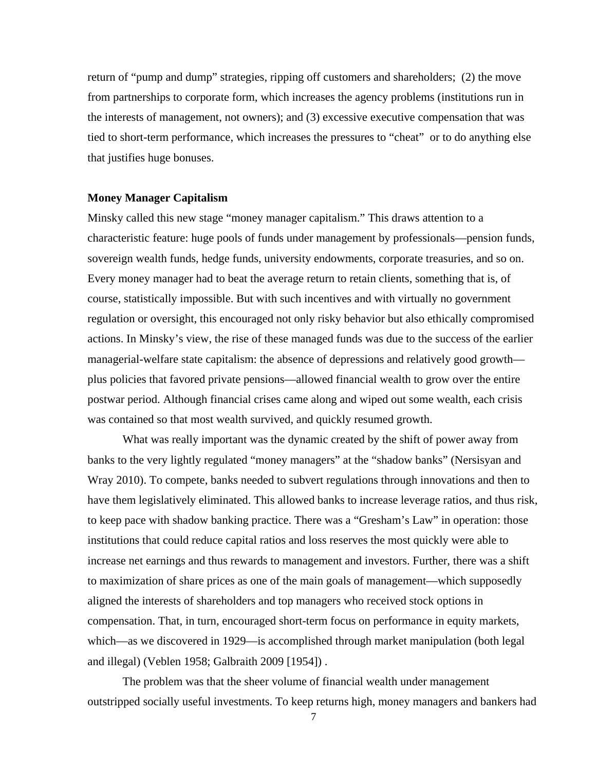return of "pump and dump" strategies, ripping off customers and shareholders; (2) the move from partnerships to corporate form, which increases the agency problems (institutions run in the interests of management, not owners); and (3) excessive executive compensation that was tied to short-term performance, which increases the pressures to "cheat" or to do anything else that justifies huge bonuses.

## **Money Manager Capitalism**

Minsky called this new stage "money manager capitalism." This draws attention to a characteristic feature: huge pools of funds under management by professionals—pension funds, sovereign wealth funds, hedge funds, university endowments, corporate treasuries, and so on. Every money manager had to beat the average return to retain clients, something that is, of course, statistically impossible. But with such incentives and with virtually no government regulation or oversight, this encouraged not only risky behavior but also ethically compromised actions. In Minsky's view, the rise of these managed funds was due to the success of the earlier managerial-welfare state capitalism: the absence of depressions and relatively good growth plus policies that favored private pensions—allowed financial wealth to grow over the entire postwar period. Although financial crises came along and wiped out some wealth, each crisis was contained so that most wealth survived, and quickly resumed growth.

What was really important was the dynamic created by the shift of power away from banks to the very lightly regulated "money managers" at the "shadow banks" (Nersisyan and Wray 2010). To compete, banks needed to subvert regulations through innovations and then to have them legislatively eliminated. This allowed banks to increase leverage ratios, and thus risk, to keep pace with shadow banking practice. There was a "Gresham's Law" in operation: those institutions that could reduce capital ratios and loss reserves the most quickly were able to increase net earnings and thus rewards to management and investors. Further, there was a shift to maximization of share prices as one of the main goals of management—which supposedly aligned the interests of shareholders and top managers who received stock options in compensation. That, in turn, encouraged short-term focus on performance in equity markets, which—as we discovered in 1929—is accomplished through market manipulation (both legal and illegal) (Veblen 1958; Galbraith 2009 [1954]) .

The problem was that the sheer volume of financial wealth under management outstripped socially useful investments. To keep returns high, money managers and bankers had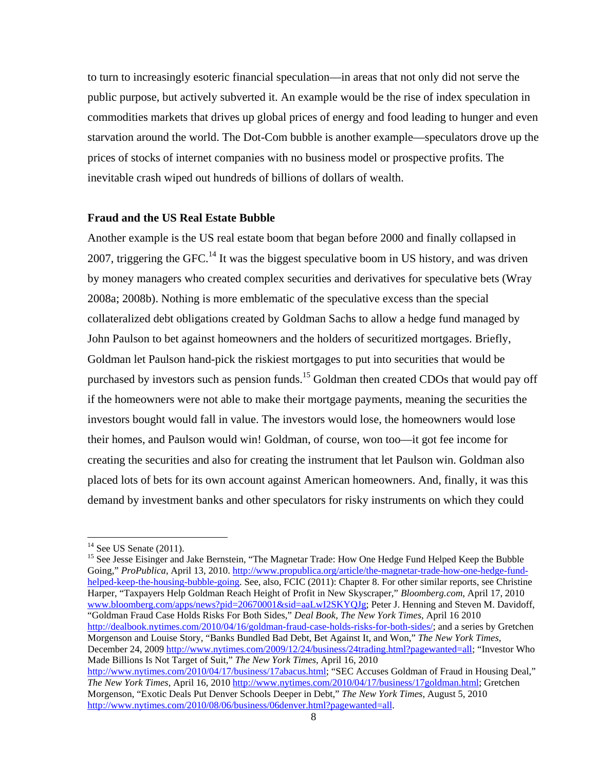to turn to increasingly esoteric financial speculation—in areas that not only did not serve the public purpose, but actively subverted it. An example would be the rise of index speculation in commodities markets that drives up global prices of energy and food leading to hunger and even starvation around the world. The Dot-Com bubble is another example—speculators drove up the prices of stocks of internet companies with no business model or prospective profits. The inevitable crash wiped out hundreds of billions of dollars of wealth.

## **Fraud and the US Real Estate Bubble**

Another example is the US real estate boom that began before 2000 and finally collapsed in 2007, triggering the GFC.<sup>14</sup> It was the biggest speculative boom in US history, and was driven by money managers who created complex securities and derivatives for speculative bets (Wray 2008a; 2008b). Nothing is more emblematic of the speculative excess than the special collateralized debt obligations created by Goldman Sachs to allow a hedge fund managed by John Paulson to bet against homeowners and the holders of securitized mortgages. Briefly, Goldman let Paulson hand-pick the riskiest mortgages to put into securities that would be purchased by investors such as pension funds.<sup>15</sup> Goldman then created CDOs that would pay off if the homeowners were not able to make their mortgage payments, meaning the securities the investors bought would fall in value. The investors would lose, the homeowners would lose their homes, and Paulson would win! Goldman, of course, won too—it got fee income for creating the securities and also for creating the instrument that let Paulson win. Goldman also placed lots of bets for its own account against American homeowners. And, finally, it was this demand by investment banks and other speculators for risky instruments on which they could

 $14$  See US Senate (2011).

<sup>&</sup>lt;sup>15</sup> See Jesse Eisinger and Jake Bernstein, "The Magnetar Trade: How One Hedge Fund Helped Keep the Bubble Going," *ProPublica*, April 13, 2010. http://www.propublica.org/article/the-magnetar-trade-how-one-hedge-fundhelped-keep-the-housing-bubble-going. See, also, FCIC (2011): Chapter 8. For other similar reports, see Christine Harper, "Taxpayers Help Goldman Reach Height of Profit in New Skyscraper," *Bloomberg.com*, April 17, 2010 www.bloomberg.com/apps/news?pid=20670001&sid=aaLwI2SKYQJg; Peter J. Henning and Steven M. Davidoff, "Goldman Fraud Case Holds Risks For Both Sides," *Deal Book, The New York Times,* April 16 2010 http://dealbook.nytimes.com/2010/04/16/goldman-fraud-case-holds-risks-for-both-sides/; and a series by Gretchen Morgenson and Louise Story, "Banks Bundled Bad Debt, Bet Against It, and Won," *The New York Times*, December 24, 2009 http://www.nytimes.com/2009/12/24/business/24trading.html?pagewanted=all; "Investor Who Made Billions Is Not Target of Suit," *The New York Times*, April 16, 2010 http://www.nytimes.com/2010/04/17/business/17abacus.html; "SEC Accuses Goldman of Fraud in Housing Deal," *The New York Times*, April 16, 2010 http://www.nytimes.com/2010/04/17/business/17goldman.html; Gretchen Morgenson, "Exotic Deals Put Denver Schools Deeper in Debt," *The New York Times*, August 5, 2010 http://www.nytimes.com/2010/08/06/business/06denver.html?pagewanted=all.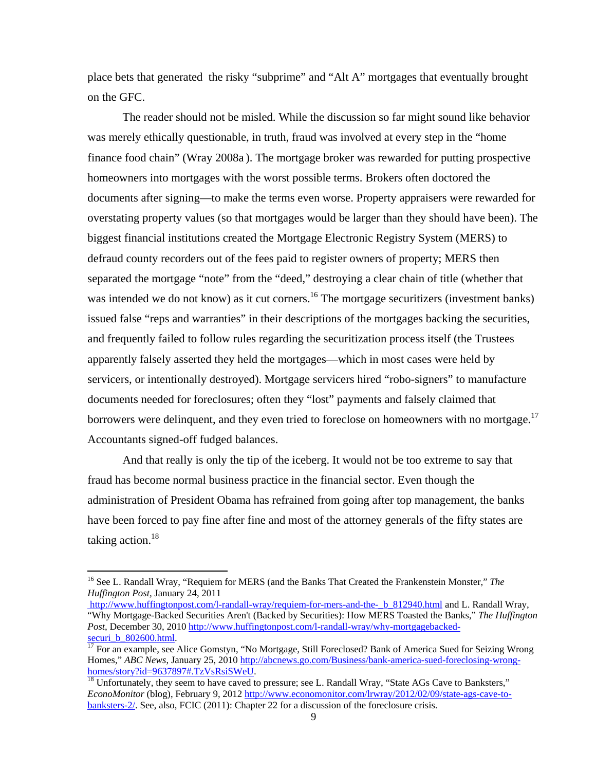place bets that generated the risky "subprime" and "Alt A" mortgages that eventually brought on the GFC.

The reader should not be misled. While the discussion so far might sound like behavior was merely ethically questionable, in truth, fraud was involved at every step in the "home finance food chain" (Wray 2008a ). The mortgage broker was rewarded for putting prospective homeowners into mortgages with the worst possible terms. Brokers often doctored the documents after signing—to make the terms even worse. Property appraisers were rewarded for overstating property values (so that mortgages would be larger than they should have been). The biggest financial institutions created the Mortgage Electronic Registry System (MERS) to defraud county recorders out of the fees paid to register owners of property; MERS then separated the mortgage "note" from the "deed," destroying a clear chain of title (whether that was intended we do not know) as it cut corners.<sup>16</sup> The mortgage securitizers (investment banks) issued false "reps and warranties" in their descriptions of the mortgages backing the securities, and frequently failed to follow rules regarding the securitization process itself (the Trustees apparently falsely asserted they held the mortgages—which in most cases were held by servicers, or intentionally destroyed). Mortgage servicers hired "robo-signers" to manufacture documents needed for foreclosures; often they "lost" payments and falsely claimed that borrowers were delinquent, and they even tried to foreclose on homeowners with no mortgage.<sup>17</sup> Accountants signed-off fudged balances.

And that really is only the tip of the iceberg. It would not be too extreme to say that fraud has become normal business practice in the financial sector. Even though the administration of President Obama has refrained from going after top management, the banks have been forced to pay fine after fine and most of the attorney generals of the fifty states are taking action. $18$ 

<sup>&</sup>lt;sup>16</sup> See L. Randall Wray, "Requiem for MERS (and the Banks That Created the Frankenstein Monster," *The Huffington Post,* January 24, 2011

http://www.huffingtonpost.com/l-randall-wray/requiem-for-mers-and-the- b\_812940.html and L. Randall Wray, "Why Mortgage-Backed Securities Aren't (Backed by Securities): How MERS Toasted the Banks," *The Huffington Post*, December 30, 2010 http://www.huffingtonpost.com/l-randall-wray/why-mortgagebackedsecuri\_b\_802600.html. 17 For an example, see Alice Gomstyn, "No Mortgage, Still Foreclosed? Bank of America Sued for Seizing Wrong

Homes," *ABC News*, January 25, 2010 http://abcnews.go.com/Business/bank-america-sued-foreclosing-wrong-<br>homes/story?id=9637897#.TzVsRsiSWeU.

 $\frac{18}{18}$  Unfortunately, they seem to have caved to pressure; see L. Randall Wray, "State AGs Cave to Banksters," *EconoMonitor* (blog), February 9, 2012 http://www.economonitor.com/lrwray/2012/02/09/state-ags-cave-tobanksters-2/. See, also, FCIC (2011): Chapter 22 for a discussion of the foreclosure crisis.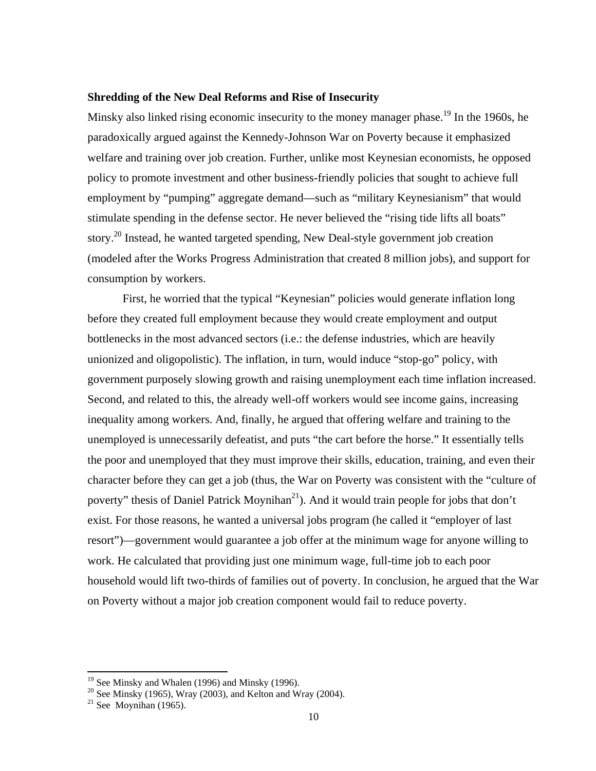#### **Shredding of the New Deal Reforms and Rise of Insecurity**

Minsky also linked rising economic insecurity to the money manager phase.<sup>19</sup> In the 1960s, he paradoxically argued against the Kennedy-Johnson War on Poverty because it emphasized welfare and training over job creation. Further, unlike most Keynesian economists, he opposed policy to promote investment and other business-friendly policies that sought to achieve full employment by "pumping" aggregate demand—such as "military Keynesianism" that would stimulate spending in the defense sector. He never believed the "rising tide lifts all boats" story.<sup>20</sup> Instead, he wanted targeted spending, New Deal-style government job creation (modeled after the Works Progress Administration that created 8 million jobs), and support for consumption by workers.

First, he worried that the typical "Keynesian" policies would generate inflation long before they created full employment because they would create employment and output bottlenecks in the most advanced sectors (i.e.: the defense industries, which are heavily unionized and oligopolistic). The inflation, in turn, would induce "stop-go" policy, with government purposely slowing growth and raising unemployment each time inflation increased. Second, and related to this, the already well-off workers would see income gains, increasing inequality among workers. And, finally, he argued that offering welfare and training to the unemployed is unnecessarily defeatist, and puts "the cart before the horse." It essentially tells the poor and unemployed that they must improve their skills, education, training, and even their character before they can get a job (thus, the War on Poverty was consistent with the "culture of poverty" thesis of Daniel Patrick Moynihan<sup>21</sup>). And it would train people for jobs that don't exist. For those reasons, he wanted a universal jobs program (he called it "employer of last resort")—government would guarantee a job offer at the minimum wage for anyone willing to work. He calculated that providing just one minimum wage, full-time job to each poor household would lift two-thirds of families out of poverty. In conclusion, he argued that the War on Poverty without a major job creation component would fail to reduce poverty.

 $19$  See Minsky and Whalen (1996) and Minsky (1996).

 $^{20}$  See Minsky (1965), Wray (2003), and Kelton and Wray (2004).

 $21$  See Moynihan (1965).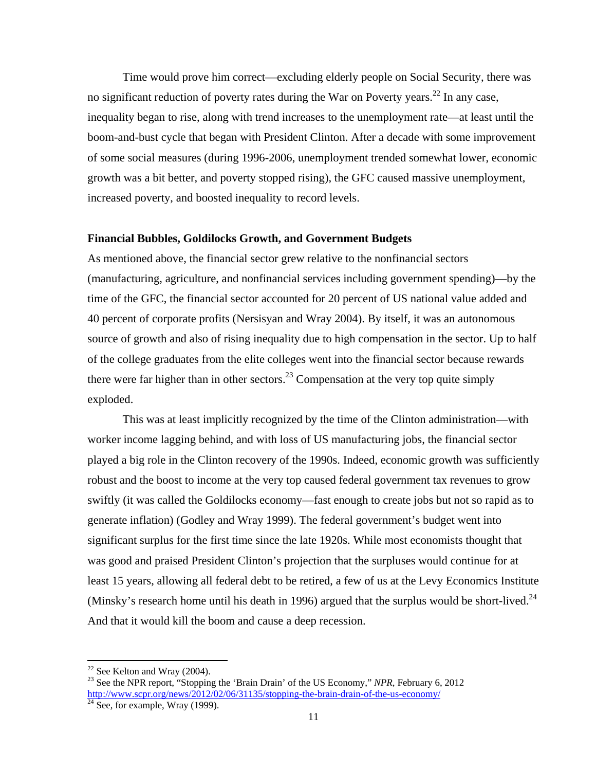Time would prove him correct—excluding elderly people on Social Security, there was no significant reduction of poverty rates during the War on Poverty years.<sup>22</sup> In any case, inequality began to rise, along with trend increases to the unemployment rate—at least until the boom-and-bust cycle that began with President Clinton. After a decade with some improvement of some social measures (during 1996-2006, unemployment trended somewhat lower, economic growth was a bit better, and poverty stopped rising), the GFC caused massive unemployment, increased poverty, and boosted inequality to record levels.

#### **Financial Bubbles, Goldilocks Growth, and Government Budgets**

As mentioned above, the financial sector grew relative to the nonfinancial sectors (manufacturing, agriculture, and nonfinancial services including government spending)—by the time of the GFC, the financial sector accounted for 20 percent of US national value added and 40 percent of corporate profits (Nersisyan and Wray 2004). By itself, it was an autonomous source of growth and also of rising inequality due to high compensation in the sector. Up to half of the college graduates from the elite colleges went into the financial sector because rewards there were far higher than in other sectors.<sup>23</sup> Compensation at the very top quite simply exploded.

This was at least implicitly recognized by the time of the Clinton administration—with worker income lagging behind, and with loss of US manufacturing jobs, the financial sector played a big role in the Clinton recovery of the 1990s. Indeed, economic growth was sufficiently robust and the boost to income at the very top caused federal government tax revenues to grow swiftly (it was called the Goldilocks economy—fast enough to create jobs but not so rapid as to generate inflation) (Godley and Wray 1999). The federal government's budget went into significant surplus for the first time since the late 1920s. While most economists thought that was good and praised President Clinton's projection that the surpluses would continue for at least 15 years, allowing all federal debt to be retired, a few of us at the Levy Economics Institute (Minsky's research home until his death in 1996) argued that the surplus would be short-lived.<sup>24</sup> And that it would kill the boom and cause a deep recession.

 $22$  See Kelton and Wray (2004).

<sup>23</sup> See the NPR report, "Stopping the 'Brain Drain' of the US Economy," *NPR*, February 6, 2012 http://www.scpr.org/news/2012/02/06/31135/stopping-the-brain-drain-of-the-us-economy/  $24$  See, for example, Wray (1999).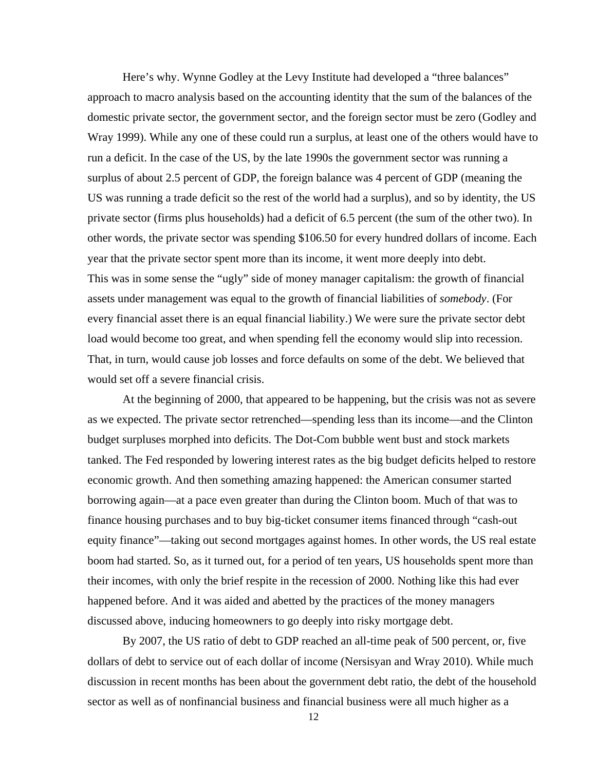Here's why. Wynne Godley at the Levy Institute had developed a "three balances" approach to macro analysis based on the accounting identity that the sum of the balances of the domestic private sector, the government sector, and the foreign sector must be zero (Godley and Wray 1999). While any one of these could run a surplus, at least one of the others would have to run a deficit. In the case of the US, by the late 1990s the government sector was running a surplus of about 2.5 percent of GDP, the foreign balance was 4 percent of GDP (meaning the US was running a trade deficit so the rest of the world had a surplus), and so by identity, the US private sector (firms plus households) had a deficit of 6.5 percent (the sum of the other two). In other words, the private sector was spending \$106.50 for every hundred dollars of income. Each year that the private sector spent more than its income, it went more deeply into debt. This was in some sense the "ugly" side of money manager capitalism: the growth of financial assets under management was equal to the growth of financial liabilities of *somebody*. (For every financial asset there is an equal financial liability.) We were sure the private sector debt load would become too great, and when spending fell the economy would slip into recession. That, in turn, would cause job losses and force defaults on some of the debt. We believed that would set off a severe financial crisis.

At the beginning of 2000, that appeared to be happening, but the crisis was not as severe as we expected. The private sector retrenched—spending less than its income—and the Clinton budget surpluses morphed into deficits. The Dot-Com bubble went bust and stock markets tanked. The Fed responded by lowering interest rates as the big budget deficits helped to restore economic growth. And then something amazing happened: the American consumer started borrowing again—at a pace even greater than during the Clinton boom. Much of that was to finance housing purchases and to buy big-ticket consumer items financed through "cash-out equity finance"—taking out second mortgages against homes. In other words, the US real estate boom had started. So, as it turned out, for a period of ten years, US households spent more than their incomes, with only the brief respite in the recession of 2000. Nothing like this had ever happened before. And it was aided and abetted by the practices of the money managers discussed above, inducing homeowners to go deeply into risky mortgage debt.

By 2007, the US ratio of debt to GDP reached an all-time peak of 500 percent, or, five dollars of debt to service out of each dollar of income (Nersisyan and Wray 2010). While much discussion in recent months has been about the government debt ratio, the debt of the household sector as well as of nonfinancial business and financial business were all much higher as a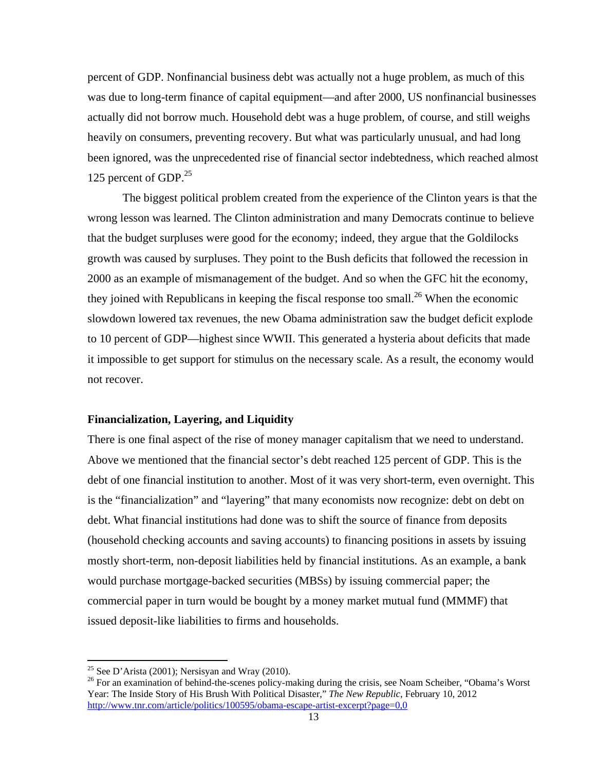percent of GDP. Nonfinancial business debt was actually not a huge problem, as much of this was due to long-term finance of capital equipment—and after 2000, US nonfinancial businesses actually did not borrow much. Household debt was a huge problem, of course, and still weighs heavily on consumers, preventing recovery. But what was particularly unusual, and had long been ignored, was the unprecedented rise of financial sector indebtedness, which reached almost 125 percent of GDP.<sup>25</sup>

The biggest political problem created from the experience of the Clinton years is that the wrong lesson was learned. The Clinton administration and many Democrats continue to believe that the budget surpluses were good for the economy; indeed, they argue that the Goldilocks growth was caused by surpluses. They point to the Bush deficits that followed the recession in 2000 as an example of mismanagement of the budget. And so when the GFC hit the economy, they joined with Republicans in keeping the fiscal response too small.<sup>26</sup> When the economic slowdown lowered tax revenues, the new Obama administration saw the budget deficit explode to 10 percent of GDP—highest since WWII. This generated a hysteria about deficits that made it impossible to get support for stimulus on the necessary scale. As a result, the economy would not recover.

# **Financialization, Layering, and Liquidity**

There is one final aspect of the rise of money manager capitalism that we need to understand. Above we mentioned that the financial sector's debt reached 125 percent of GDP. This is the debt of one financial institution to another. Most of it was very short-term, even overnight. This is the "financialization" and "layering" that many economists now recognize: debt on debt on debt. What financial institutions had done was to shift the source of finance from deposits (household checking accounts and saving accounts) to financing positions in assets by issuing mostly short-term, non-deposit liabilities held by financial institutions. As an example, a bank would purchase mortgage-backed securities (MBSs) by issuing commercial paper; the commercial paper in turn would be bought by a money market mutual fund (MMMF) that issued deposit-like liabilities to firms and households.

<sup>&</sup>lt;sup>25</sup> See D'Arista (2001); Nersisyan and Wray (2010).

<sup>&</sup>lt;sup>26</sup> For an examination of behind-the-scenes policy-making during the crisis, see Noam Scheiber, "Obama's Worst Year: The Inside Story of His Brush With Political Disaster," *The New Republic*, February 10, 2012 http://www.tnr.com/article/politics/100595/obama-escape-artist-excerpt?page=0,0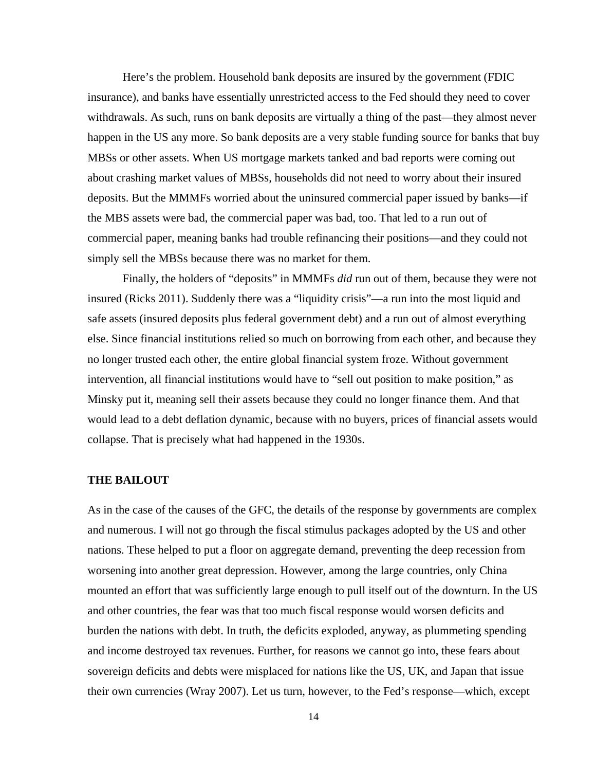Here's the problem. Household bank deposits are insured by the government (FDIC insurance), and banks have essentially unrestricted access to the Fed should they need to cover withdrawals. As such, runs on bank deposits are virtually a thing of the past—they almost never happen in the US any more. So bank deposits are a very stable funding source for banks that buy MBSs or other assets. When US mortgage markets tanked and bad reports were coming out about crashing market values of MBSs, households did not need to worry about their insured deposits. But the MMMFs worried about the uninsured commercial paper issued by banks—if the MBS assets were bad, the commercial paper was bad, too. That led to a run out of commercial paper, meaning banks had trouble refinancing their positions—and they could not simply sell the MBSs because there was no market for them.

Finally, the holders of "deposits" in MMMFs *did* run out of them, because they were not insured (Ricks 2011). Suddenly there was a "liquidity crisis"—a run into the most liquid and safe assets (insured deposits plus federal government debt) and a run out of almost everything else. Since financial institutions relied so much on borrowing from each other, and because they no longer trusted each other, the entire global financial system froze. Without government intervention, all financial institutions would have to "sell out position to make position," as Minsky put it, meaning sell their assets because they could no longer finance them. And that would lead to a debt deflation dynamic, because with no buyers, prices of financial assets would collapse. That is precisely what had happened in the 1930s.

#### **THE BAILOUT**

As in the case of the causes of the GFC, the details of the response by governments are complex and numerous. I will not go through the fiscal stimulus packages adopted by the US and other nations. These helped to put a floor on aggregate demand, preventing the deep recession from worsening into another great depression. However, among the large countries, only China mounted an effort that was sufficiently large enough to pull itself out of the downturn. In the US and other countries, the fear was that too much fiscal response would worsen deficits and burden the nations with debt. In truth, the deficits exploded, anyway, as plummeting spending and income destroyed tax revenues. Further, for reasons we cannot go into, these fears about sovereign deficits and debts were misplaced for nations like the US, UK, and Japan that issue their own currencies (Wray 2007). Let us turn, however, to the Fed's response—which, except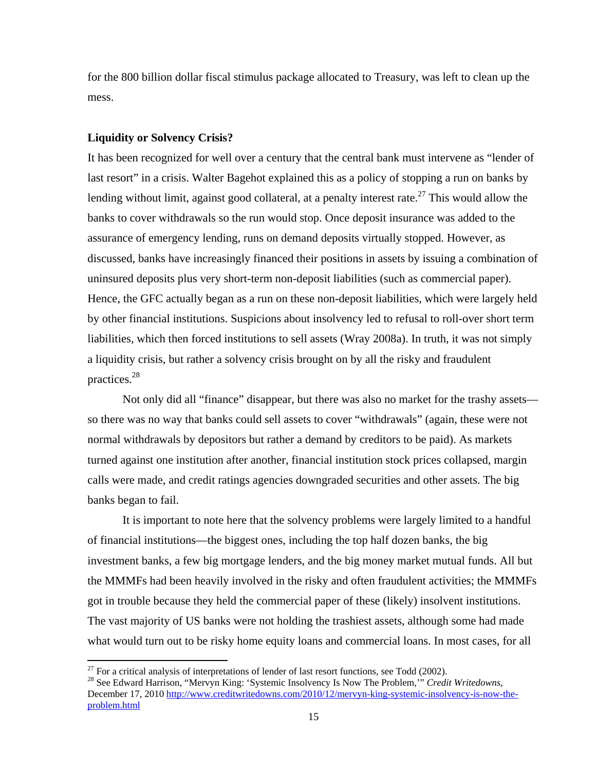for the 800 billion dollar fiscal stimulus package allocated to Treasury, was left to clean up the mess.

## **Liquidity or Solvency Crisis?**

It has been recognized for well over a century that the central bank must intervene as "lender of last resort" in a crisis. Walter Bagehot explained this as a policy of stopping a run on banks by lending without limit, against good collateral, at a penalty interest rate.<sup>27</sup> This would allow the banks to cover withdrawals so the run would stop. Once deposit insurance was added to the assurance of emergency lending, runs on demand deposits virtually stopped. However, as discussed, banks have increasingly financed their positions in assets by issuing a combination of uninsured deposits plus very short-term non-deposit liabilities (such as commercial paper). Hence, the GFC actually began as a run on these non-deposit liabilities, which were largely held by other financial institutions. Suspicions about insolvency led to refusal to roll-over short term liabilities, which then forced institutions to sell assets (Wray 2008a). In truth, it was not simply a liquidity crisis, but rather a solvency crisis brought on by all the risky and fraudulent practices.28

Not only did all "finance" disappear, but there was also no market for the trashy assets so there was no way that banks could sell assets to cover "withdrawals" (again, these were not normal withdrawals by depositors but rather a demand by creditors to be paid). As markets turned against one institution after another, financial institution stock prices collapsed, margin calls were made, and credit ratings agencies downgraded securities and other assets. The big banks began to fail.

It is important to note here that the solvency problems were largely limited to a handful of financial institutions—the biggest ones, including the top half dozen banks, the big investment banks, a few big mortgage lenders, and the big money market mutual funds. All but the MMMFs had been heavily involved in the risky and often fraudulent activities; the MMMFs got in trouble because they held the commercial paper of these (likely) insolvent institutions. The vast majority of US banks were not holding the trashiest assets, although some had made what would turn out to be risky home equity loans and commercial loans. In most cases, for all

 $^{27}$  For a critical analysis of interpretations of lender of last resort functions, see Todd (2002).

<sup>28</sup> See Edward Harrison, "Mervyn King: 'Systemic Insolvency Is Now The Problem,'" *Credit Writedowns*, December 17, 2010 http://www.creditwritedowns.com/2010/12/mervyn-king-systemic-insolvency-is-now-theproblem.html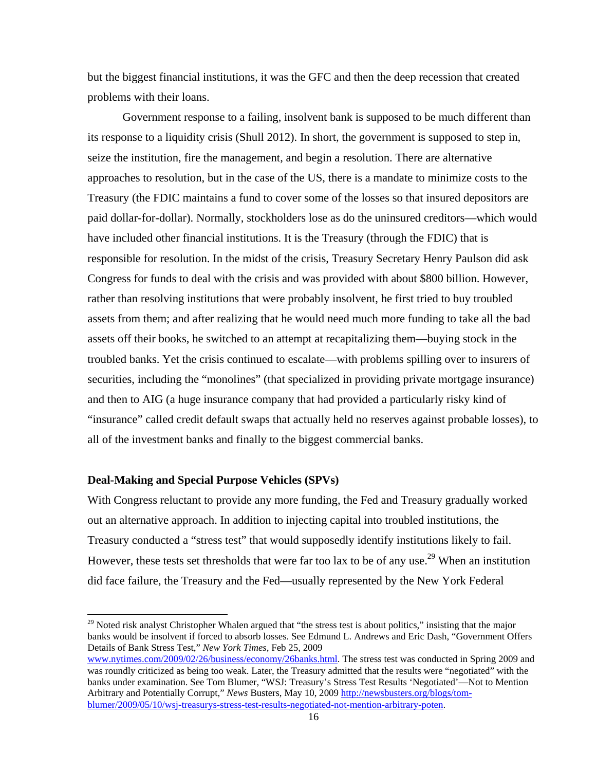but the biggest financial institutions, it was the GFC and then the deep recession that created problems with their loans.

Government response to a failing, insolvent bank is supposed to be much different than its response to a liquidity crisis (Shull 2012). In short, the government is supposed to step in, seize the institution, fire the management, and begin a resolution. There are alternative approaches to resolution, but in the case of the US, there is a mandate to minimize costs to the Treasury (the FDIC maintains a fund to cover some of the losses so that insured depositors are paid dollar-for-dollar). Normally, stockholders lose as do the uninsured creditors—which would have included other financial institutions. It is the Treasury (through the FDIC) that is responsible for resolution. In the midst of the crisis, Treasury Secretary Henry Paulson did ask Congress for funds to deal with the crisis and was provided with about \$800 billion. However, rather than resolving institutions that were probably insolvent, he first tried to buy troubled assets from them; and after realizing that he would need much more funding to take all the bad assets off their books, he switched to an attempt at recapitalizing them—buying stock in the troubled banks. Yet the crisis continued to escalate—with problems spilling over to insurers of securities, including the "monolines" (that specialized in providing private mortgage insurance) and then to AIG (a huge insurance company that had provided a particularly risky kind of "insurance" called credit default swaps that actually held no reserves against probable losses), to all of the investment banks and finally to the biggest commercial banks.

## **Deal-Making and Special Purpose Vehicles (SPVs)**

With Congress reluctant to provide any more funding, the Fed and Treasury gradually worked out an alternative approach. In addition to injecting capital into troubled institutions, the Treasury conducted a "stress test" that would supposedly identify institutions likely to fail. However, these tests set thresholds that were far too lax to be of any use.<sup>29</sup> When an institution did face failure, the Treasury and the Fed—usually represented by the New York Federal

 $29$  Noted risk analyst Christopher Whalen argued that "the stress test is about politics," insisting that the major banks would be insolvent if forced to absorb losses. See Edmund L. Andrews and Eric Dash, "Government Offers Details of Bank Stress Test," *New York Times,* Feb 25, 2009

www.nytimes.com/2009/02/26/business/economy/26banks.html. The stress test was conducted in Spring 2009 and was roundly criticized as being too weak. Later, the Treasury admitted that the results were "negotiated" with the banks under examination. See Tom Blumer, "WSJ: Treasury's Stress Test Results 'Negotiated'—Not to Mention Arbitrary and Potentially Corrupt," *News* Busters, May 10, 2009 http://newsbusters.org/blogs/tomblumer/2009/05/10/wsj-treasurys-stress-test-results-negotiated-not-mention-arbitrary-poten.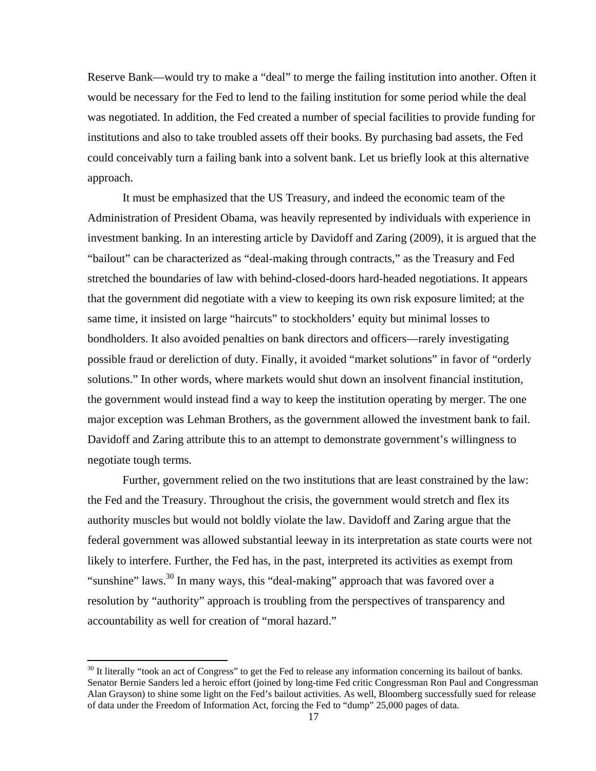Reserve Bank—would try to make a "deal" to merge the failing institution into another. Often it would be necessary for the Fed to lend to the failing institution for some period while the deal was negotiated. In addition, the Fed created a number of special facilities to provide funding for institutions and also to take troubled assets off their books. By purchasing bad assets, the Fed could conceivably turn a failing bank into a solvent bank. Let us briefly look at this alternative approach.

It must be emphasized that the US Treasury, and indeed the economic team of the Administration of President Obama, was heavily represented by individuals with experience in investment banking. In an interesting article by Davidoff and Zaring (2009), it is argued that the "bailout" can be characterized as "deal-making through contracts," as the Treasury and Fed stretched the boundaries of law with behind-closed-doors hard-headed negotiations. It appears that the government did negotiate with a view to keeping its own risk exposure limited; at the same time, it insisted on large "haircuts" to stockholders' equity but minimal losses to bondholders. It also avoided penalties on bank directors and officers—rarely investigating possible fraud or dereliction of duty. Finally, it avoided "market solutions" in favor of "orderly solutions." In other words, where markets would shut down an insolvent financial institution, the government would instead find a way to keep the institution operating by merger. The one major exception was Lehman Brothers, as the government allowed the investment bank to fail. Davidoff and Zaring attribute this to an attempt to demonstrate government's willingness to negotiate tough terms.

Further, government relied on the two institutions that are least constrained by the law: the Fed and the Treasury. Throughout the crisis, the government would stretch and flex its authority muscles but would not boldly violate the law. Davidoff and Zaring argue that the federal government was allowed substantial leeway in its interpretation as state courts were not likely to interfere. Further, the Fed has, in the past, interpreted its activities as exempt from "sunshine" laws.<sup>30</sup> In many ways, this "deal-making" approach that was favored over a resolution by "authority" approach is troubling from the perspectives of transparency and accountability as well for creation of "moral hazard."

 $30$  It literally "took an act of Congress" to get the Fed to release any information concerning its bailout of banks. Senator Bernie Sanders led a heroic effort (joined by long-time Fed critic Congressman Ron Paul and Congressman Alan Grayson) to shine some light on the Fed's bailout activities. As well, Bloomberg successfully sued for release of data under the Freedom of Information Act, forcing the Fed to "dump" 25,000 pages of data.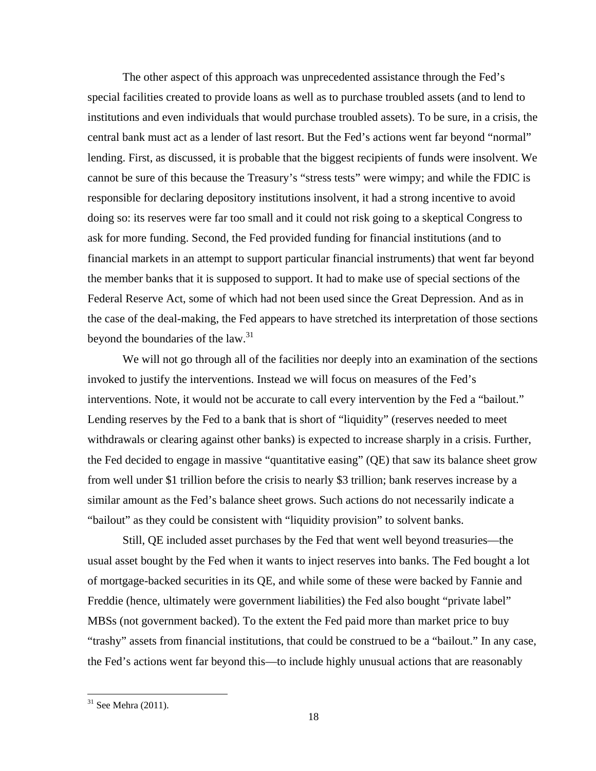The other aspect of this approach was unprecedented assistance through the Fed's special facilities created to provide loans as well as to purchase troubled assets (and to lend to institutions and even individuals that would purchase troubled assets). To be sure, in a crisis, the central bank must act as a lender of last resort. But the Fed's actions went far beyond "normal" lending. First, as discussed, it is probable that the biggest recipients of funds were insolvent. We cannot be sure of this because the Treasury's "stress tests" were wimpy; and while the FDIC is responsible for declaring depository institutions insolvent, it had a strong incentive to avoid doing so: its reserves were far too small and it could not risk going to a skeptical Congress to ask for more funding. Second, the Fed provided funding for financial institutions (and to financial markets in an attempt to support particular financial instruments) that went far beyond the member banks that it is supposed to support. It had to make use of special sections of the Federal Reserve Act, some of which had not been used since the Great Depression. And as in the case of the deal-making, the Fed appears to have stretched its interpretation of those sections beyond the boundaries of the law.<sup>31</sup>

We will not go through all of the facilities nor deeply into an examination of the sections invoked to justify the interventions. Instead we will focus on measures of the Fed's interventions. Note, it would not be accurate to call every intervention by the Fed a "bailout." Lending reserves by the Fed to a bank that is short of "liquidity" (reserves needed to meet withdrawals or clearing against other banks) is expected to increase sharply in a crisis. Further, the Fed decided to engage in massive "quantitative easing" (QE) that saw its balance sheet grow from well under \$1 trillion before the crisis to nearly \$3 trillion; bank reserves increase by a similar amount as the Fed's balance sheet grows. Such actions do not necessarily indicate a "bailout" as they could be consistent with "liquidity provision" to solvent banks.

Still, QE included asset purchases by the Fed that went well beyond treasuries—the usual asset bought by the Fed when it wants to inject reserves into banks. The Fed bought a lot of mortgage-backed securities in its QE, and while some of these were backed by Fannie and Freddie (hence, ultimately were government liabilities) the Fed also bought "private label" MBSs (not government backed). To the extent the Fed paid more than market price to buy "trashy" assets from financial institutions, that could be construed to be a "bailout." In any case, the Fed's actions went far beyond this—to include highly unusual actions that are reasonably

 $31$  See Mehra (2011).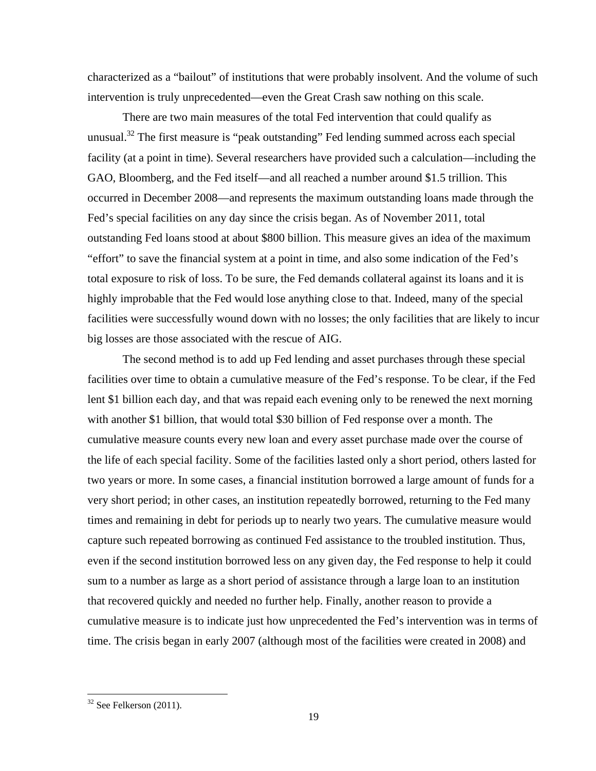characterized as a "bailout" of institutions that were probably insolvent. And the volume of such intervention is truly unprecedented—even the Great Crash saw nothing on this scale.

There are two main measures of the total Fed intervention that could qualify as unusual.<sup>32</sup> The first measure is "peak outstanding" Fed lending summed across each special facility (at a point in time). Several researchers have provided such a calculation—including the GAO, Bloomberg, and the Fed itself—and all reached a number around \$1.5 trillion. This occurred in December 2008—and represents the maximum outstanding loans made through the Fed's special facilities on any day since the crisis began. As of November 2011, total outstanding Fed loans stood at about \$800 billion. This measure gives an idea of the maximum "effort" to save the financial system at a point in time, and also some indication of the Fed's total exposure to risk of loss. To be sure, the Fed demands collateral against its loans and it is highly improbable that the Fed would lose anything close to that. Indeed, many of the special facilities were successfully wound down with no losses; the only facilities that are likely to incur big losses are those associated with the rescue of AIG.

The second method is to add up Fed lending and asset purchases through these special facilities over time to obtain a cumulative measure of the Fed's response. To be clear, if the Fed lent \$1 billion each day, and that was repaid each evening only to be renewed the next morning with another \$1 billion, that would total \$30 billion of Fed response over a month. The cumulative measure counts every new loan and every asset purchase made over the course of the life of each special facility. Some of the facilities lasted only a short period, others lasted for two years or more. In some cases, a financial institution borrowed a large amount of funds for a very short period; in other cases, an institution repeatedly borrowed, returning to the Fed many times and remaining in debt for periods up to nearly two years. The cumulative measure would capture such repeated borrowing as continued Fed assistance to the troubled institution. Thus, even if the second institution borrowed less on any given day, the Fed response to help it could sum to a number as large as a short period of assistance through a large loan to an institution that recovered quickly and needed no further help. Finally, another reason to provide a cumulative measure is to indicate just how unprecedented the Fed's intervention was in terms of time. The crisis began in early 2007 (although most of the facilities were created in 2008) and

 $32$  See Felkerson (2011).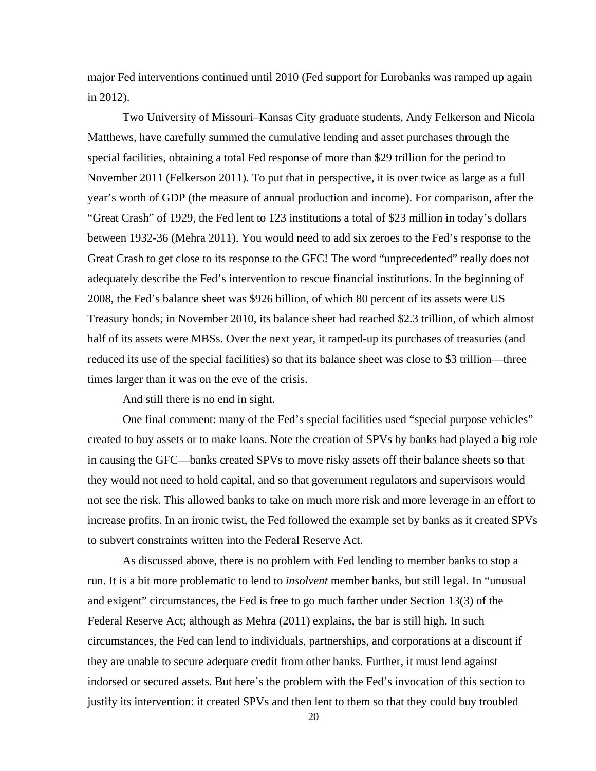major Fed interventions continued until 2010 (Fed support for Eurobanks was ramped up again in 2012).

Two University of Missouri–Kansas City graduate students, Andy Felkerson and Nicola Matthews, have carefully summed the cumulative lending and asset purchases through the special facilities, obtaining a total Fed response of more than \$29 trillion for the period to November 2011 (Felkerson 2011). To put that in perspective, it is over twice as large as a full year's worth of GDP (the measure of annual production and income). For comparison, after the "Great Crash" of 1929, the Fed lent to 123 institutions a total of \$23 million in today's dollars between 1932-36 (Mehra 2011). You would need to add six zeroes to the Fed's response to the Great Crash to get close to its response to the GFC! The word "unprecedented" really does not adequately describe the Fed's intervention to rescue financial institutions. In the beginning of 2008, the Fed's balance sheet was \$926 billion, of which 80 percent of its assets were US Treasury bonds; in November 2010, its balance sheet had reached \$2.3 trillion, of which almost half of its assets were MBSs. Over the next year, it ramped-up its purchases of treasuries (and reduced its use of the special facilities) so that its balance sheet was close to \$3 trillion—three times larger than it was on the eve of the crisis.

And still there is no end in sight.

One final comment: many of the Fed's special facilities used "special purpose vehicles" created to buy assets or to make loans. Note the creation of SPVs by banks had played a big role in causing the GFC—banks created SPVs to move risky assets off their balance sheets so that they would not need to hold capital, and so that government regulators and supervisors would not see the risk. This allowed banks to take on much more risk and more leverage in an effort to increase profits. In an ironic twist, the Fed followed the example set by banks as it created SPVs to subvert constraints written into the Federal Reserve Act.

As discussed above, there is no problem with Fed lending to member banks to stop a run. It is a bit more problematic to lend to *insolvent* member banks, but still legal. In "unusual and exigent" circumstances, the Fed is free to go much farther under Section 13(3) of the Federal Reserve Act; although as Mehra (2011) explains, the bar is still high. In such circumstances, the Fed can lend to individuals, partnerships, and corporations at a discount if they are unable to secure adequate credit from other banks. Further, it must lend against indorsed or secured assets. But here's the problem with the Fed's invocation of this section to justify its intervention: it created SPVs and then lent to them so that they could buy troubled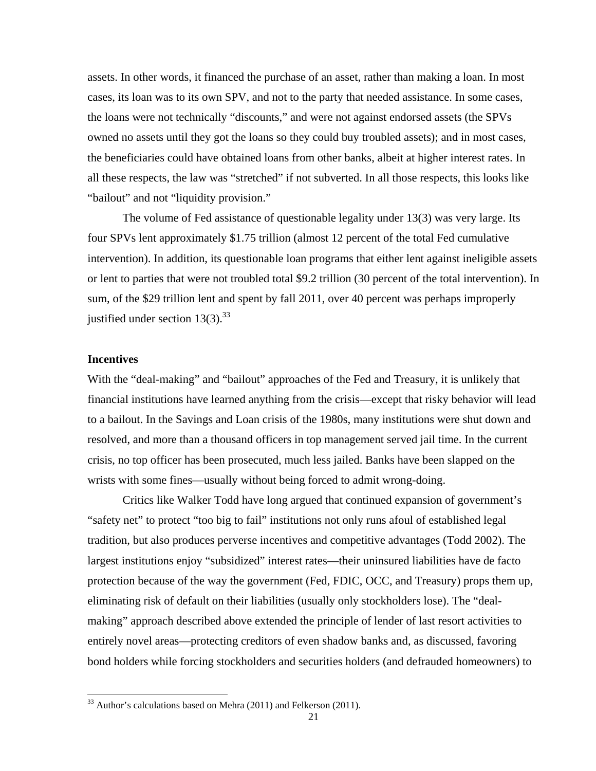assets. In other words, it financed the purchase of an asset, rather than making a loan. In most cases, its loan was to its own SPV, and not to the party that needed assistance. In some cases, the loans were not technically "discounts," and were not against endorsed assets (the SPVs owned no assets until they got the loans so they could buy troubled assets); and in most cases, the beneficiaries could have obtained loans from other banks, albeit at higher interest rates. In all these respects, the law was "stretched" if not subverted. In all those respects, this looks like "bailout" and not "liquidity provision."

The volume of Fed assistance of questionable legality under 13(3) was very large. Its four SPVs lent approximately \$1.75 trillion (almost 12 percent of the total Fed cumulative intervention). In addition, its questionable loan programs that either lent against ineligible assets or lent to parties that were not troubled total \$9.2 trillion (30 percent of the total intervention). In sum, of the \$29 trillion lent and spent by fall 2011, over 40 percent was perhaps improperly justified under section  $13(3)$ .<sup>33</sup>

# **Incentives**

With the "deal-making" and "bailout" approaches of the Fed and Treasury, it is unlikely that financial institutions have learned anything from the crisis—except that risky behavior will lead to a bailout. In the Savings and Loan crisis of the 1980s, many institutions were shut down and resolved, and more than a thousand officers in top management served jail time. In the current crisis, no top officer has been prosecuted, much less jailed. Banks have been slapped on the wrists with some fines—usually without being forced to admit wrong-doing.

Critics like Walker Todd have long argued that continued expansion of government's "safety net" to protect "too big to fail" institutions not only runs afoul of established legal tradition, but also produces perverse incentives and competitive advantages (Todd 2002). The largest institutions enjoy "subsidized" interest rates—their uninsured liabilities have de facto protection because of the way the government (Fed, FDIC, OCC, and Treasury) props them up, eliminating risk of default on their liabilities (usually only stockholders lose). The "dealmaking" approach described above extended the principle of lender of last resort activities to entirely novel areas—protecting creditors of even shadow banks and, as discussed, favoring bond holders while forcing stockholders and securities holders (and defrauded homeowners) to

 $33$  Author's calculations based on Mehra (2011) and Felkerson (2011).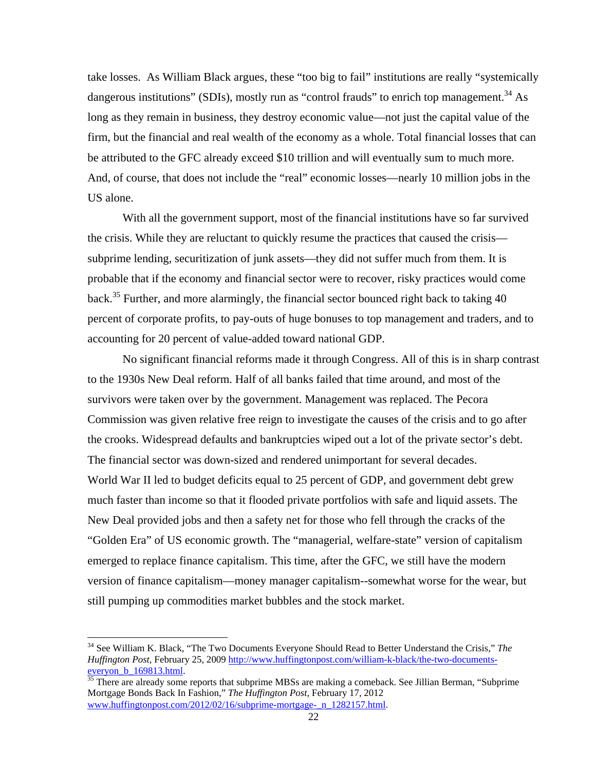take losses. As William Black argues, these "too big to fail" institutions are really "systemically dangerous institutions" (SDIs), mostly run as "control frauds" to enrich top management.<sup>34</sup> As long as they remain in business, they destroy economic value—not just the capital value of the firm, but the financial and real wealth of the economy as a whole. Total financial losses that can be attributed to the GFC already exceed \$10 trillion and will eventually sum to much more. And, of course, that does not include the "real" economic losses—nearly 10 million jobs in the US alone.

With all the government support, most of the financial institutions have so far survived the crisis. While they are reluctant to quickly resume the practices that caused the crisis subprime lending, securitization of junk assets—they did not suffer much from them. It is probable that if the economy and financial sector were to recover, risky practices would come back.<sup>35</sup> Further, and more alarmingly, the financial sector bounced right back to taking 40 percent of corporate profits, to pay-outs of huge bonuses to top management and traders, and to accounting for 20 percent of value-added toward national GDP.

No significant financial reforms made it through Congress. All of this is in sharp contrast to the 1930s New Deal reform. Half of all banks failed that time around, and most of the survivors were taken over by the government. Management was replaced. The Pecora Commission was given relative free reign to investigate the causes of the crisis and to go after the crooks. Widespread defaults and bankruptcies wiped out a lot of the private sector's debt. The financial sector was down-sized and rendered unimportant for several decades. World War II led to budget deficits equal to 25 percent of GDP, and government debt grew much faster than income so that it flooded private portfolios with safe and liquid assets. The New Deal provided jobs and then a safety net for those who fell through the cracks of the "Golden Era" of US economic growth. The "managerial, welfare-state" version of capitalism emerged to replace finance capitalism. This time, after the GFC, we still have the modern version of finance capitalism—money manager capitalism--somewhat worse for the wear, but still pumping up commodities market bubbles and the stock market.

<sup>34</sup> See William K. Black, "The Two Documents Everyone Should Read to Better Understand the Crisis," *The Huffington Post*, February 25, 2009 http://www.huffingtonpost.com/william-k-black/the-two-documentseveryon\_b\_169813.html.<br><sup>35</sup> There are already some reports that subprime MBSs are making a comeback. See Jillian Berman, "Subprime

Mortgage Bonds Back In Fashion," *The Huffington Post*, February 17, 2012 www.huffingtonpost.com/2012/02/16/subprime-mortgage- n 1282157.html.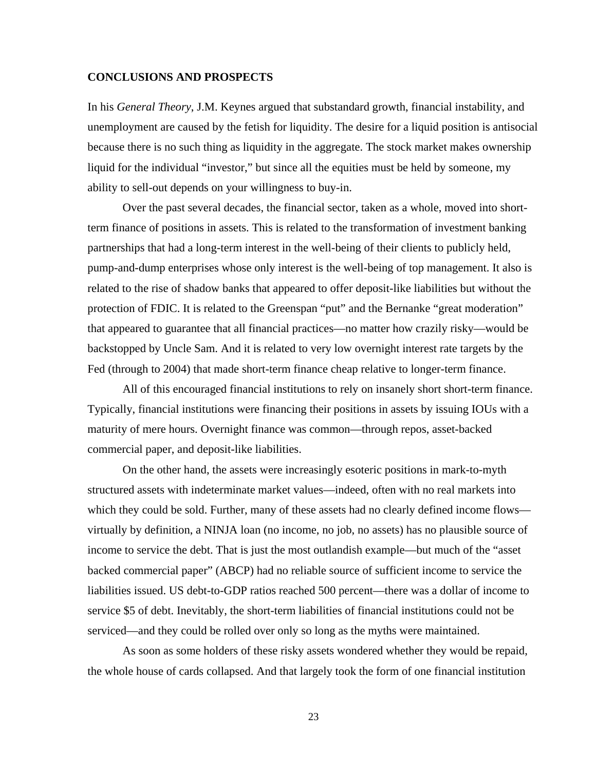## **CONCLUSIONS AND PROSPECTS**

In his *General Theory*, J.M. Keynes argued that substandard growth, financial instability, and unemployment are caused by the fetish for liquidity. The desire for a liquid position is antisocial because there is no such thing as liquidity in the aggregate. The stock market makes ownership liquid for the individual "investor," but since all the equities must be held by someone, my ability to sell-out depends on your willingness to buy-in.

Over the past several decades, the financial sector, taken as a whole, moved into shortterm finance of positions in assets. This is related to the transformation of investment banking partnerships that had a long-term interest in the well-being of their clients to publicly held, pump-and-dump enterprises whose only interest is the well-being of top management. It also is related to the rise of shadow banks that appeared to offer deposit-like liabilities but without the protection of FDIC. It is related to the Greenspan "put" and the Bernanke "great moderation" that appeared to guarantee that all financial practices—no matter how crazily risky—would be backstopped by Uncle Sam. And it is related to very low overnight interest rate targets by the Fed (through to 2004) that made short-term finance cheap relative to longer-term finance.

All of this encouraged financial institutions to rely on insanely short short-term finance. Typically, financial institutions were financing their positions in assets by issuing IOUs with a maturity of mere hours. Overnight finance was common—through repos, asset-backed commercial paper, and deposit-like liabilities.

On the other hand, the assets were increasingly esoteric positions in mark-to-myth structured assets with indeterminate market values—indeed, often with no real markets into which they could be sold. Further, many of these assets had no clearly defined income flows virtually by definition, a NINJA loan (no income, no job, no assets) has no plausible source of income to service the debt. That is just the most outlandish example—but much of the "asset backed commercial paper" (ABCP) had no reliable source of sufficient income to service the liabilities issued. US debt-to-GDP ratios reached 500 percent—there was a dollar of income to service \$5 of debt. Inevitably, the short-term liabilities of financial institutions could not be serviced—and they could be rolled over only so long as the myths were maintained.

As soon as some holders of these risky assets wondered whether they would be repaid, the whole house of cards collapsed. And that largely took the form of one financial institution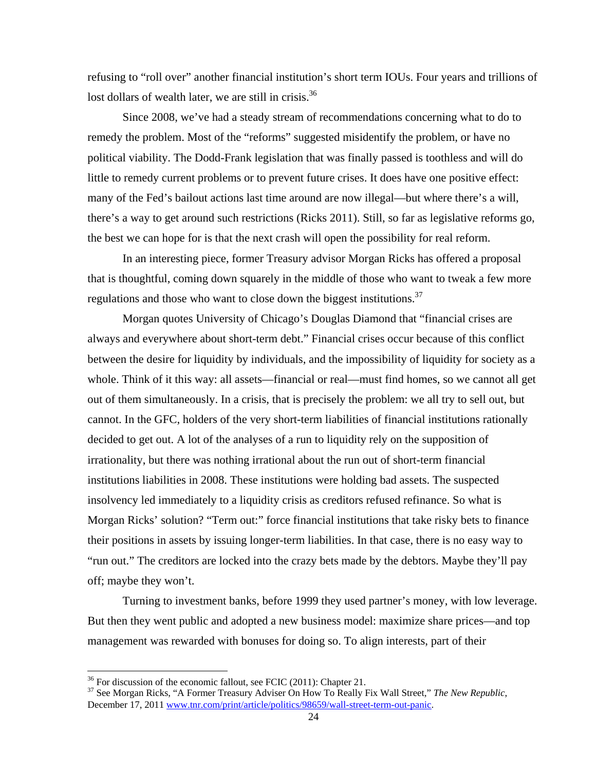refusing to "roll over" another financial institution's short term IOUs. Four years and trillions of lost dollars of wealth later, we are still in crisis. $36$ 

Since 2008, we've had a steady stream of recommendations concerning what to do to remedy the problem. Most of the "reforms" suggested misidentify the problem, or have no political viability. The Dodd-Frank legislation that was finally passed is toothless and will do little to remedy current problems or to prevent future crises. It does have one positive effect: many of the Fed's bailout actions last time around are now illegal—but where there's a will, there's a way to get around such restrictions (Ricks 2011). Still, so far as legislative reforms go, the best we can hope for is that the next crash will open the possibility for real reform.

In an interesting piece, former Treasury advisor Morgan Ricks has offered a proposal that is thoughtful, coming down squarely in the middle of those who want to tweak a few more regulations and those who want to close down the biggest institutions.37

Morgan quotes University of Chicago's Douglas Diamond that "financial crises are always and everywhere about short-term debt." Financial crises occur because of this conflict between the desire for liquidity by individuals, and the impossibility of liquidity for society as a whole. Think of it this way: all assets—financial or real—must find homes, so we cannot all get out of them simultaneously. In a crisis, that is precisely the problem: we all try to sell out, but cannot. In the GFC, holders of the very short-term liabilities of financial institutions rationally decided to get out. A lot of the analyses of a run to liquidity rely on the supposition of irrationality, but there was nothing irrational about the run out of short-term financial institutions liabilities in 2008. These institutions were holding bad assets. The suspected insolvency led immediately to a liquidity crisis as creditors refused refinance. So what is Morgan Ricks' solution? "Term out:" force financial institutions that take risky bets to finance their positions in assets by issuing longer-term liabilities. In that case, there is no easy way to "run out." The creditors are locked into the crazy bets made by the debtors. Maybe they'll pay off; maybe they won't.

Turning to investment banks, before 1999 they used partner's money, with low leverage. But then they went public and adopted a new business model: maximize share prices—and top management was rewarded with bonuses for doing so. To align interests, part of their

 $36$  For discussion of the economic fallout, see FCIC (2011): Chapter 21.

<sup>37</sup> See Morgan Ricks, "A Former Treasury Adviser On How To Really Fix Wall Street," *The New Republic*, December 17, 2011 www.tnr.com/print/article/politics/98659/wall-street-term-out-panic.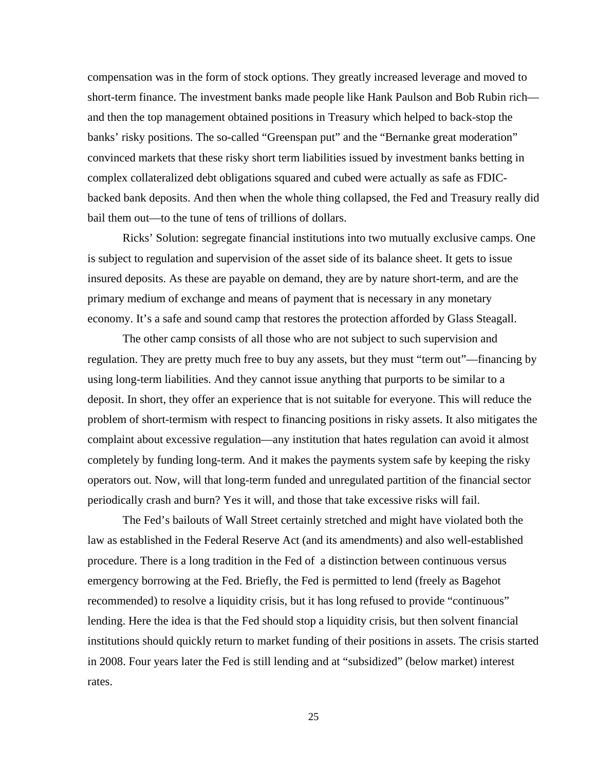compensation was in the form of stock options. They greatly increased leverage and moved to short-term finance. The investment banks made people like Hank Paulson and Bob Rubin rich and then the top management obtained positions in Treasury which helped to back-stop the banks' risky positions. The so-called "Greenspan put" and the "Bernanke great moderation" convinced markets that these risky short term liabilities issued by investment banks betting in complex collateralized debt obligations squared and cubed were actually as safe as FDICbacked bank deposits. And then when the whole thing collapsed, the Fed and Treasury really did bail them out—to the tune of tens of trillions of dollars.

Ricks' Solution: segregate financial institutions into two mutually exclusive camps. One is subject to regulation and supervision of the asset side of its balance sheet. It gets to issue insured deposits. As these are payable on demand, they are by nature short-term, and are the primary medium of exchange and means of payment that is necessary in any monetary economy. It's a safe and sound camp that restores the protection afforded by Glass Steagall.

The other camp consists of all those who are not subject to such supervision and regulation. They are pretty much free to buy any assets, but they must "term out"—financing by using long-term liabilities. And they cannot issue anything that purports to be similar to a deposit. In short, they offer an experience that is not suitable for everyone. This will reduce the problem of short-termism with respect to financing positions in risky assets. It also mitigates the complaint about excessive regulation—any institution that hates regulation can avoid it almost completely by funding long-term. And it makes the payments system safe by keeping the risky operators out. Now, will that long-term funded and unregulated partition of the financial sector periodically crash and burn? Yes it will, and those that take excessive risks will fail.

The Fed's bailouts of Wall Street certainly stretched and might have violated both the law as established in the Federal Reserve Act (and its amendments) and also well-established procedure. There is a long tradition in the Fed of a distinction between continuous versus emergency borrowing at the Fed. Briefly, the Fed is permitted to lend (freely as Bagehot recommended) to resolve a liquidity crisis, but it has long refused to provide "continuous" lending. Here the idea is that the Fed should stop a liquidity crisis, but then solvent financial institutions should quickly return to market funding of their positions in assets. The crisis started in 2008. Four years later the Fed is still lending and at "subsidized" (below market) interest rates.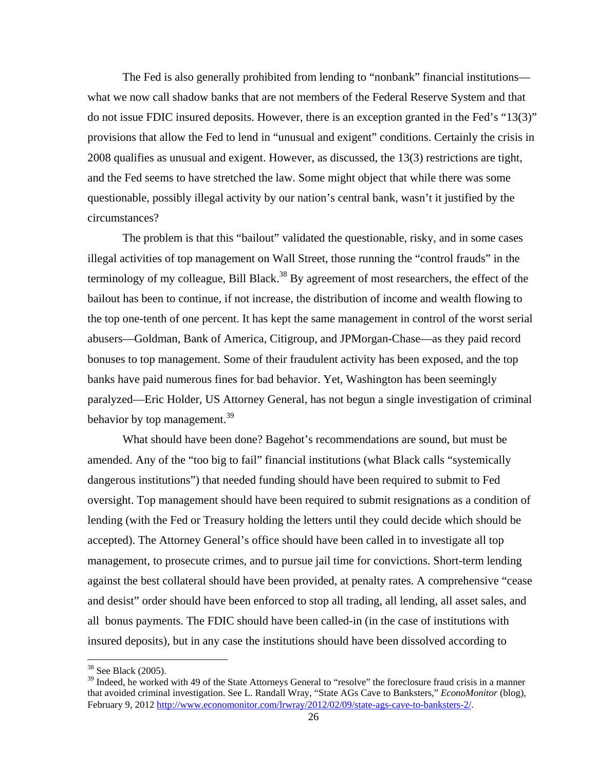The Fed is also generally prohibited from lending to "nonbank" financial institutions what we now call shadow banks that are not members of the Federal Reserve System and that do not issue FDIC insured deposits. However, there is an exception granted in the Fed's "13(3)" provisions that allow the Fed to lend in "unusual and exigent" conditions. Certainly the crisis in 2008 qualifies as unusual and exigent. However, as discussed, the 13(3) restrictions are tight, and the Fed seems to have stretched the law. Some might object that while there was some questionable, possibly illegal activity by our nation's central bank, wasn't it justified by the circumstances?

The problem is that this "bailout" validated the questionable, risky, and in some cases illegal activities of top management on Wall Street, those running the "control frauds" in the terminology of my colleague, Bill Black.<sup>38</sup> By agreement of most researchers, the effect of the bailout has been to continue, if not increase, the distribution of income and wealth flowing to the top one-tenth of one percent. It has kept the same management in control of the worst serial abusers—Goldman, Bank of America, Citigroup, and JPMorgan-Chase—as they paid record bonuses to top management. Some of their fraudulent activity has been exposed, and the top banks have paid numerous fines for bad behavior. Yet, Washington has been seemingly paralyzed—Eric Holder, US Attorney General, has not begun a single investigation of criminal behavior by top management. $39$ 

What should have been done? Bagehot's recommendations are sound, but must be amended. Any of the "too big to fail" financial institutions (what Black calls "systemically dangerous institutions") that needed funding should have been required to submit to Fed oversight. Top management should have been required to submit resignations as a condition of lending (with the Fed or Treasury holding the letters until they could decide which should be accepted). The Attorney General's office should have been called in to investigate all top management, to prosecute crimes, and to pursue jail time for convictions. Short-term lending against the best collateral should have been provided, at penalty rates. A comprehensive "cease and desist" order should have been enforced to stop all trading, all lending, all asset sales, and all bonus payments. The FDIC should have been called-in (in the case of institutions with insured deposits), but in any case the institutions should have been dissolved according to

<sup>38</sup> See Black (2005).

 $39$  Indeed, he worked with 49 of the State Attorneys General to "resolve" the foreclosure fraud crisis in a manner that avoided criminal investigation. See L. Randall Wray, "State AGs Cave to Banksters," *EconoMonitor* (blog), February 9, 2012 http://www.economonitor.com/lrwray/2012/02/09/state-ags-cave-to-banksters-2/.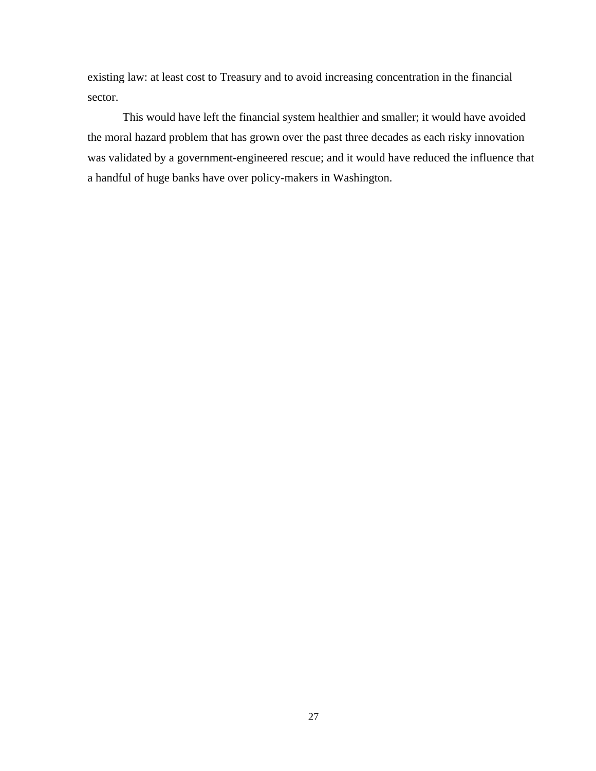existing law: at least cost to Treasury and to avoid increasing concentration in the financial sector.

This would have left the financial system healthier and smaller; it would have avoided the moral hazard problem that has grown over the past three decades as each risky innovation was validated by a government-engineered rescue; and it would have reduced the influence that a handful of huge banks have over policy-makers in Washington.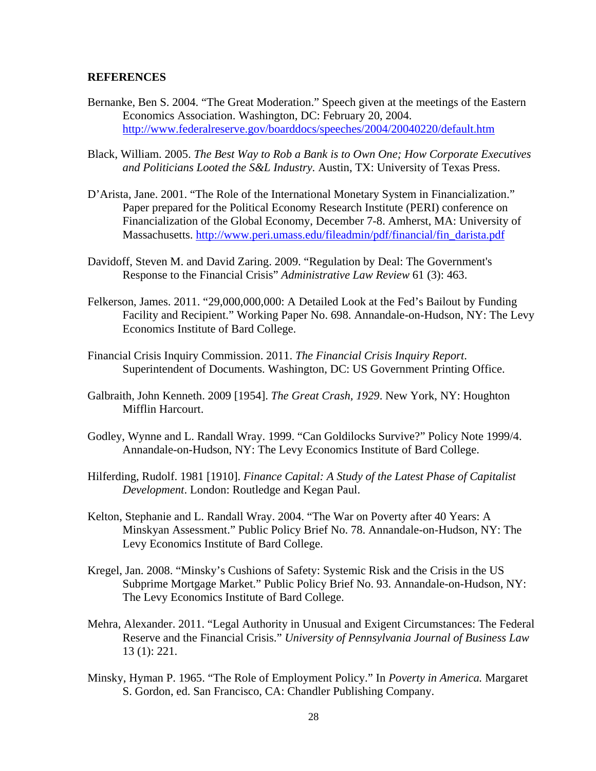## **REFERENCES**

- Bernanke, Ben S. 2004. "The Great Moderation." Speech given at the meetings of the Eastern Economics Association. Washington, DC: February 20, 2004. http://www.federalreserve.gov/boarddocs/speeches/2004/20040220/default.htm
- Black, William. 2005. *The Best Way to Rob a Bank is to Own One; How Corporate Executives and Politicians Looted the S&L Industry.* Austin, TX: University of Texas Press.
- D'Arista, Jane. 2001. "The Role of the International Monetary System in Financialization." Paper prepared for the Political Economy Research Institute (PERI) conference on Financialization of the Global Economy, December 7-8. Amherst, MA: University of Massachusetts. http://www.peri.umass.edu/fileadmin/pdf/financial/fin\_darista.pdf
- Davidoff, Steven M. and David Zaring. 2009. "Regulation by Deal: The Government's Response to the Financial Crisis" *Administrative Law Review* 61 (3): 463.
- Felkerson, James. 2011. "29,000,000,000: A Detailed Look at the Fed's Bailout by Funding Facility and Recipient." Working Paper No. 698. Annandale-on-Hudson, NY: The Levy Economics Institute of Bard College.
- Financial Crisis Inquiry Commission. 2011. *The Financial Crisis Inquiry Report*. Superintendent of Documents. Washington, DC: US Government Printing Office.
- Galbraith, John Kenneth. 2009 [1954]. *The Great Crash, 1929*. New York, NY: Houghton Mifflin Harcourt.
- Godley, Wynne and L. Randall Wray. 1999. "Can Goldilocks Survive?" Policy Note 1999/4. Annandale-on-Hudson, NY: The Levy Economics Institute of Bard College.
- Hilferding, Rudolf. 1981 [1910]. *Finance Capital: A Study of the Latest Phase of Capitalist Development*. London: Routledge and Kegan Paul.
- Kelton, Stephanie and L. Randall Wray. 2004. "The War on Poverty after 40 Years: A Minskyan Assessment." Public Policy Brief No. 78. Annandale-on-Hudson, NY: The Levy Economics Institute of Bard College.
- Kregel, Jan. 2008. "Minsky's Cushions of Safety: Systemic Risk and the Crisis in the US Subprime Mortgage Market." Public Policy Brief No. 93. Annandale-on-Hudson, NY: The Levy Economics Institute of Bard College.
- Mehra, Alexander. 2011. "Legal Authority in Unusual and Exigent Circumstances: The Federal Reserve and the Financial Crisis." *University of Pennsylvania Journal of Business Law* 13 (1): 221.
- Minsky, Hyman P. 1965. "The Role of Employment Policy." In *Poverty in America.* Margaret S. Gordon, ed. San Francisco, CA: Chandler Publishing Company.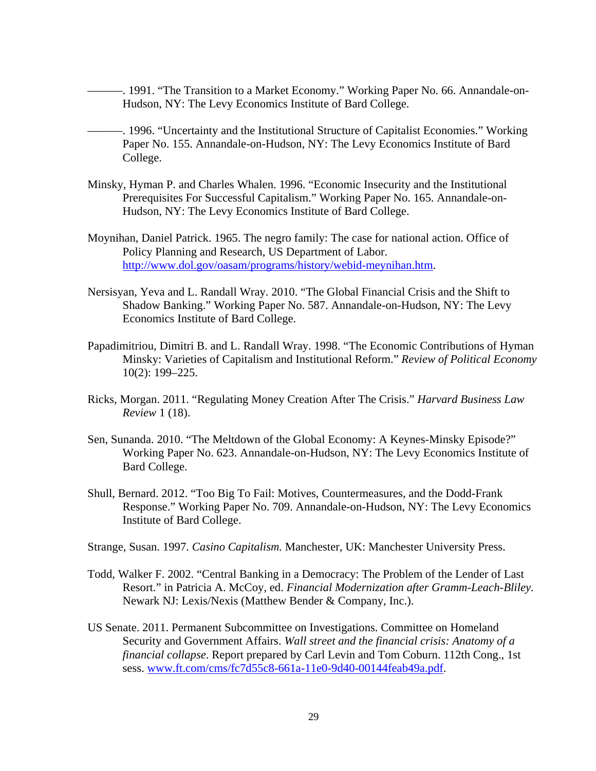- -. 1991. "The Transition to a Market Economy." Working Paper No. 66. Annandale-on-Hudson, NY: The Levy Economics Institute of Bard College.
- ———. 1996. "Uncertainty and the Institutional Structure of Capitalist Economies." Working Paper No. 155. Annandale-on-Hudson, NY: The Levy Economics Institute of Bard College.
- Minsky, Hyman P. and Charles Whalen. 1996. "Economic Insecurity and the Institutional Prerequisites For Successful Capitalism." Working Paper No. 165. Annandale-on-Hudson, NY: The Levy Economics Institute of Bard College.
- Moynihan, Daniel Patrick. 1965. The negro family: The case for national action. Office of Policy Planning and Research, US Department of Labor. http://www.dol.gov/oasam/programs/history/webid-meynihan.htm.
- Nersisyan, Yeva and L. Randall Wray. 2010. "The Global Financial Crisis and the Shift to Shadow Banking." Working Paper No. 587. Annandale-on-Hudson, NY: The Levy Economics Institute of Bard College.
- Papadimitriou, Dimitri B. and L. Randall Wray. 1998. "The Economic Contributions of Hyman Minsky: Varieties of Capitalism and Institutional Reform." *Review of Political Economy* 10(2): 199–225.
- Ricks, Morgan. 2011. "Regulating Money Creation After The Crisis." *Harvard Business Law Review* 1 (18).
- Sen, Sunanda. 2010. "The Meltdown of the Global Economy: A Keynes-Minsky Episode?" Working Paper No. 623. Annandale-on-Hudson, NY: The Levy Economics Institute of Bard College.
- Shull, Bernard. 2012. "Too Big To Fail: Motives, Countermeasures, and the Dodd-Frank Response." Working Paper No. 709. Annandale-on-Hudson, NY: The Levy Economics Institute of Bard College.
- Strange, Susan. 1997. *Casino Capitalism.* Manchester, UK: Manchester University Press.
- Todd, Walker F. 2002. "Central Banking in a Democracy: The Problem of the Lender of Last Resort." in Patricia A. McCoy, ed. *Financial Modernization after Gramm-Leach-Bliley.*  Newark NJ: Lexis/Nexis (Matthew Bender & Company, Inc.).
- US Senate. 2011. Permanent Subcommittee on Investigations. Committee on Homeland Security and Government Affairs. *Wall street and the financial crisis: Anatomy of a financial collapse*. Report prepared by Carl Levin and Tom Coburn. 112th Cong., 1st sess. www.ft.com/cms/fc7d55c8-661a-11e0-9d40-00144feab49a.pdf.